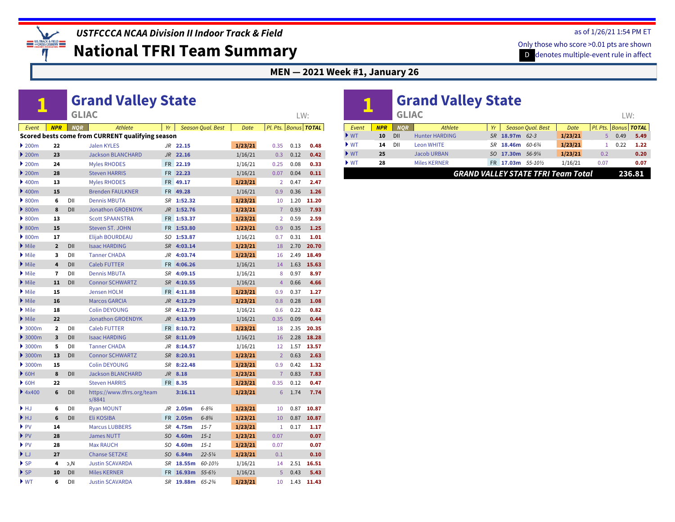

**National TFRI Team Summary**

**MEN — 2021 Week #1, January 26**

#### **1 [Grand Valley State](https://www.tfrrs.org/teams/8841)** *Event NPR NQR Athlete Yr Season Qual. Best Date Pl. Pts. Bonus TOTAL* LW: **Scored bests come from CURRENT qualifying season** } [200m](http://www.ustfccca.org/team-rankings-polls-central/polls-rankings-hub?coll=10582&event=3) **22** [Jalen KYLES](https://www.tfrrs.org/athletes/7722319) *JR* **[22.15](https://www.tfrrs.org/results/66744) 1/23/21** 0.35 0.13 **0.48** } [200m](http://www.ustfccca.org/team-rankings-polls-central/polls-rankings-hub?coll=10582&event=3) **23** [Jackson BLANCHARD](https://www.tfrrs.org/athletes/7721007) *JR* **[22.16](https://www.tfrrs.org/results/66301)** 1/16/21 0.3 0.12 **0.42** } [200m](http://www.ustfccca.org/team-rankings-polls-central/polls-rankings-hub?coll=10582&event=3) **24** [Myles RHODES](https://www.tfrrs.org/athletes/7721032) FR **[22.19](https://www.tfrrs.org/results/66301)** 1/16/21 0.25 0.08 **0.33** } [200m](http://www.ustfccca.org/team-rankings-polls-central/polls-rankings-hub?coll=10582&event=3) **28** [Steven HARRIS](https://www.tfrrs.org/athletes/7721016) FR **[22.23](https://www.tfrrs.org/results/66301)** 1/16/21 0.07 0.04 **0.11** } [400m](http://www.ustfccca.org/team-rankings-polls-central/polls-rankings-hub?coll=10582&event=4) **13** [Myles RHODES](https://www.tfrrs.org/athletes/7721032) FR **[49.17](https://www.tfrrs.org/results/66744) 1/23/21** 2 0.47 **2.47** } [400m](http://www.ustfccca.org/team-rankings-polls-central/polls-rankings-hub?coll=10582&event=4) **15** [Brenden FAULKNER](https://www.tfrrs.org/athletes/7721012) FR **[49.28](https://www.tfrrs.org/results/66301)** 1/16/21 0.9 0.36 **1.26** } [800m](http://www.ustfccca.org/team-rankings-polls-central/polls-rankings-hub?coll=10582&event=6) NCAA DII Prov, **6** [Dennis MBUTA](https://www.tfrrs.org/athletes/6078364) *SR* **[1:52.32](https://www.tfrrs.org/results/66744) 1/23/21** 10 1.20 **11.20**  $\bullet$  [800m](http://www.ustfccca.org/team-rankings-polls-central/polls-rankings-hub?coll=10582&event=6) 8 DII [Jonathon GROENDYK](https://www.tfrrs.org/athletes/6532198) JR [1:52.76](https://www.tfrrs.org/results/66744) **1/23/21** 7 0.93 7.93 } [800m](http://www.ustfccca.org/team-rankings-polls-central/polls-rankings-hub?coll=10582&event=6) **13** [Scott SPAANSTRA](https://www.tfrrs.org/athletes/7721037) FR **[1:53.37](https://www.tfrrs.org/results/66744) 1/23/21** 2 0.59 **2.59** } [800m](http://www.ustfccca.org/team-rankings-polls-central/polls-rankings-hub?coll=10582&event=6) **15** [Steven ST. JOHN](https://www.tfrrs.org/athletes/7721039) FR **[1:53.80](https://www.tfrrs.org/results/66744) 1/23/21** 0.9 0.35 **1.25** } [800m](http://www.ustfccca.org/team-rankings-polls-central/polls-rankings-hub?coll=10582&event=6) **17** [Elijah BOURDEAU](https://www.tfrrs.org/athletes/6985496) *SO* **[1:53.87](https://www.tfrrs.org/results/66301)** 1/16/21 0.7 0.31 **1.01 i** [Mile](http://www.ustfccca.org/team-rankings-polls-central/polls-rankings-hub?coll=10582&event=9) **2** DII [Isaac HARDING](https://www.tfrrs.org/athletes/7721015) *SR* **[4:03.14](https://www.tfrrs.org/results/66744) 1/23/21** 18 2.70 **20.70** } [Mile](http://www.ustfccca.org/team-rankings-polls-central/polls-rankings-hub?coll=10582&event=9) NCAA DII Prov, **3** [Tanner CHADA](https://www.tfrrs.org/athletes/6532192) *JR* **[4:03.74](https://www.tfrrs.org/results/66744) 1/23/21** 16 2.49 **18.49 EXAMPLE 4 DII [Caleb FUTTER](https://www.tfrrs.org/athletes/7365211) FR [4:06.26](https://www.tfrrs.org/results/66301)** 1/16/21 14 1.63 15.63 **•** [Mile](http://www.ustfccca.org/team-rankings-polls-central/polls-rankings-hub?coll=10582&event=9) **7** DII [Dennis MBUTA](https://www.tfrrs.org/athletes/6078364) **SR [4:09.15](https://www.tfrrs.org/results/66301)** 1/16/21 8 0.97 8.97  $\bullet$  [Mile](http://www.ustfccca.org/team-rankings-polls-central/polls-rankings-hub?coll=10582&event=9) **11** DII [Connor SCHWARTZ](https://www.tfrrs.org/athletes/6078371) SR [4:10.55](https://www.tfrrs.org/results/66301) 1/16/21 4 0.66 4.66 } [Mile](http://www.ustfccca.org/team-rankings-polls-central/polls-rankings-hub?coll=10582&event=9) **15** [Jensen HOLM](https://www.tfrrs.org/athletes/7365214) FR **[4:11.88](https://www.tfrrs.org/results/66744) 1/23/21** 0.9 0.37 **1.27** } [Mile](http://www.ustfccca.org/team-rankings-polls-central/polls-rankings-hub?coll=10582&event=9) **16** [Marcos GARCIA](https://www.tfrrs.org/athletes/7721013) *JR* **[4:12.29](https://www.tfrrs.org/results/66744) 1/23/21** 0.8 0.28 **1.08** } [Mile](http://www.ustfccca.org/team-rankings-polls-central/polls-rankings-hub?coll=10582&event=9) **18** [Colin DEYOUNG](https://www.tfrrs.org/athletes/7556011) *SR* **[4:12.79](https://www.tfrrs.org/results/66301)** 1/16/21 0.6 0.22 **0.82** } [Mile](http://www.ustfccca.org/team-rankings-polls-central/polls-rankings-hub?coll=10582&event=9) **22** [Jonathon GROENDYK](https://www.tfrrs.org/athletes/6532198) *JR* **[4:13.99](https://www.tfrrs.org/results/66301)** 1/16/21 0.35 0.09 **0.44 2** DII [Caleb FUTTER](https://www.tfrrs.org/athletes/7365211) FR **[8:10.72](https://www.tfrrs.org/results/66744) 1/23/21** 18 2.35 20.35  $\bullet$  [3000m](http://www.ustfccca.org/team-rankings-polls-central/polls-rankings-hub?coll=10582&event=10) **3** DII [Isaac HARDING](https://www.tfrrs.org/athletes/7721015) **SR [8:11.09](https://www.tfrrs.org/results/66301)** 1/16/21 16 2.28 18.28 **8:000m 5 DII [Tanner CHADA](https://www.tfrrs.org/athletes/6532192)** *JR* **[8:14.57](https://www.tfrrs.org/results/66301) 11/16/21 12 1.57 13.57 2** [3000m](http://www.ustfccca.org/team-rankings-polls-central/polls-rankings-hub?coll=10582&event=10) 13 DII [Connor SCHWARTZ](https://www.tfrrs.org/athletes/6078371) SR [8:20.91](https://www.tfrrs.org/results/66744) **1/23/21** 2 0.63 2.63 } [3000m](http://www.ustfccca.org/team-rankings-polls-central/polls-rankings-hub?coll=10582&event=10) **15** [Colin DEYOUNG](https://www.tfrrs.org/athletes/7556011) *SR* **[8:22.48](https://www.tfrrs.org/results/66744) 1/23/21** 0.9 0.42 **1.32 8** [60H](http://www.ustfccca.org/team-rankings-polls-central/polls-rankings-hub?coll=10582&event=13) **8** DII [Jackson BLANCHARD](https://www.tfrrs.org/athletes/7721007) **JR [8.18](https://www.tfrrs.org/results/66744) 1/23/21** 7 0.83 7.83 } [60H](http://www.ustfccca.org/team-rankings-polls-central/polls-rankings-hub?coll=10582&event=13) **22** [Steven HARRIS](https://www.tfrrs.org/athletes/7721016) FR **[8.35](https://www.tfrrs.org/results/66744) 1/23/21** 0.35 0.12 **0.47 \*** [4x400](http://www.ustfccca.org/team-rankings-polls-central/polls-rankings-hub?coll=10582&event=19) **6** DII [https://www.tfrrs.org/team](https://www.tfrrs.org/teams/8841) **[3:16.11](https://www.tfrrs.org/results/66744) 1/23/21** 6 1.74 **7.74** s/8841 } [HJ](http://www.ustfccca.org/team-rankings-polls-central/polls-rankings-hub?coll=10582&event=21) NCAA DII Prov, **6** [Ryan MOUNT](https://www.tfrrs.org/athletes/6985509) *JR* **[2.05m](https://www.tfrrs.org/results/66744)** *6-8¾* **1/23/21** 10 0.87 **10.87** } [HJ](http://www.ustfccca.org/team-rankings-polls-central/polls-rankings-hub?coll=10582&event=21) NCAA DII Prov, **6** [Eli KOSIBA](https://www.tfrrs.org/athletes/7721020) FR **[2.05m](https://www.tfrrs.org/results/66744)** *6-8¾* **1/23/21** 10 0.87 **10.87** } [PV](http://www.ustfccca.org/team-rankings-polls-central/polls-rankings-hub?coll=10582&event=22) **14** [Marcus LUBBERS](https://www.tfrrs.org/athletes/6532206) *SR* **[4.75m](https://www.tfrrs.org/results/66744)** *15-7* **1/23/21** 1 0.17 **1.17** } [PV](http://www.ustfccca.org/team-rankings-polls-central/polls-rankings-hub?coll=10582&event=22) **28** [James NUTT](https://www.tfrrs.org/athletes/7492541) *SO* **[4.60m](https://www.tfrrs.org/results/66744)** *15-1* **1/23/21** 0.07 **0.07** } [PV](http://www.ustfccca.org/team-rankings-polls-central/polls-rankings-hub?coll=10582&event=22) **28** [Max RAUCH](https://www.tfrrs.org/athletes/7492542) *SO* **[4.60m](https://www.tfrrs.org/results/66744)** *15-1* **1/23/21** 0.07 **0.07** } [LJ](http://www.ustfccca.org/team-rankings-polls-central/polls-rankings-hub?coll=10582&event=23) **27** [Chanse SETZKE](https://www.tfrrs.org/athletes/7492543) *SO* **[6.84m](https://www.tfrrs.org/results/66744)** *22-5¼* **1/23/21** 0.1 **0.10 8** SP **4**  $_3$ N [Justin SCAVARDA](https://www.tfrrs.org/athletes/6078370) **SR [18.55m](https://www.tfrrs.org/results/66301)**  $60-10\frac{1}{2}$  1/16/21 14 2.51 **16.51** } [SP](http://www.ustfccca.org/team-rankings-polls-central/polls-rankings-hub?coll=10582&event=25) NCAA DII Prov, **10** [Miles KERNER](https://www.tfrrs.org/athletes/7492537) FR **[16.93m](https://www.tfrrs.org/results/66301)** *55-6½* 1/16/21 5 0.43 **5.43**

▶ [WT](http://www.ustfccca.org/team-rankings-polls-central/polls-rankings-hub?coll=10582&event=29) 6 DII [Justin SCAVARDA](https://www.tfrrs.org/athletes/6078370) *SR* [19.88m](https://www.tfrrs.org/results/66744) 65-2¾ 1/23/21 10 1.43 11.43

|                          |            | <b>GLIAC</b> | <b>Grand Valley State</b>                 |     |                  |                          |         |                          | LW:  |        |
|--------------------------|------------|--------------|-------------------------------------------|-----|------------------|--------------------------|---------|--------------------------|------|--------|
| Event                    | <b>NPR</b> | <b>NOR</b>   | Athlete                                   | Yr  |                  | <b>Season Qual. Best</b> | Date    | Pl. Pts.   Bonus   TOTAL |      |        |
| $\blacktriangleright$ WT | 10         | DII          | <b>Hunter HARDING</b>                     |     | SR 18.97m 62-3   |                          | 1/23/21 | 5                        | 0.49 | 5.49   |
| $\blacktriangleright$ WT | 14         | DII          | <b>Leon WHITE</b>                         | SR. | 18.46m           | 60-634                   | 1/23/21 |                          | 0.22 | 1.22   |
| $\blacktriangleright$ WT | 25         |              | <b>Jacob URBAN</b>                        | SO. | 17.30m 56-91/4   |                          | 1/23/21 | 0.2                      |      | 0.20   |
| $\blacktriangleright$ WT | 28         |              | <b>Miles KERNER</b>                       |     | FR 17.03m 55-10½ |                          | 1/16/21 | 0.07                     |      | 0.07   |
|                          |            |              | <b>GRAND VALLEY STATE TFRI Team Total</b> |     |                  |                          |         |                          |      | 236.81 |

#### as of 1/26/21 1:54 PM ET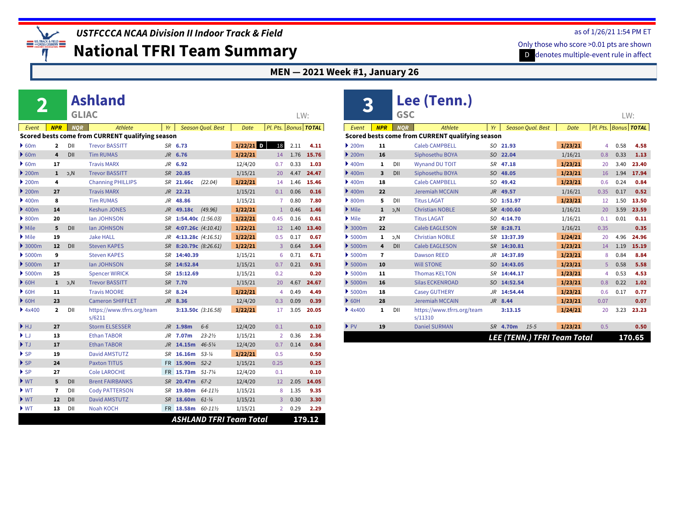

**National TFRI Team Summary**

#### **MEN — 2021 Week #1, January 26**

|                                        |       |                |              | <b>Ashland</b>                                   |           |                      |                          |                                |                |      |                      |
|----------------------------------------|-------|----------------|--------------|--------------------------------------------------|-----------|----------------------|--------------------------|--------------------------------|----------------|------|----------------------|
|                                        |       |                | <b>GLIAC</b> |                                                  |           |                      |                          |                                |                | LW:  |                      |
|                                        | Event | <b>NPR</b>     | <b>NOR</b>   | Athlete                                          | Yr        |                      | <b>Season Qual. Best</b> | <b>Date</b>                    |                |      | Pl. Pts. Bonus TOTAL |
|                                        |       |                |              | Scored bests come from CURRENT qualifying season |           |                      |                          |                                |                |      |                      |
| $\triangleright$ 60m                   |       | $\overline{a}$ | DII          | <b>Trevor BASSITT</b>                            |           | SR 6.73              |                          | $1/22/21$ D                    | 18             | 2.11 | 4.11                 |
| $\triangleright$ 60m                   |       | 4              | DII          | <b>Tim RUMAS</b>                                 |           | JR 6.76              |                          | 1/22/21                        | 14             | 1.76 | 15.76                |
| $\triangleright$ 60m                   |       | 17             |              | <b>Travis MARX</b>                               | JR        | 6.92                 |                          | 12/4/20                        | 0.7            | 0.33 | 1.03                 |
| $\blacktriangleright$ 200m             |       | $\mathbf{1}$   | D, N         | <b>Trevor BASSITT</b>                            |           | SR 20.85             |                          | 1/15/21                        | 20             | 4.47 | 24.47                |
| $\blacktriangleright$ 200m             |       | 4              |              | <b>Channing PHILLIPS</b>                         | SR        | 21.66c               | (22.04)                  | 1/22/21                        | 14             | 1.46 | 15.46                |
| $\blacktriangleright$ 200 <sub>m</sub> |       | 27             |              | <b>Travis MARX</b>                               |           | JR 22.21             |                          | 1/15/21                        | 0.1            | 0.06 | 0.16                 |
| $\rightarrow$ 400m                     |       | 8              |              | <b>Tim RUMAS</b>                                 | JR        | 48.86                |                          | 1/15/21                        | 7              | 0.80 | 7.80                 |
| $\blacktriangleright$ 400m             |       | 14             |              | <b>Keshun JONES</b>                              | <b>JR</b> | 49.18c               | (49.96)                  | 1/22/21                        | $\mathbf{1}$   | 0.46 | 1.46                 |
| $\rightarrow$ 800m                     |       | 20             |              | <b>Ian JOHNSON</b>                               | SR        | 1:54.40c $(1:56.03)$ |                          | 1/22/21                        | 0.45           | 0.16 | 0.61                 |
| $\blacktriangleright$ Mile             |       | 5              | DII          | lan JOHNSON                                      | <b>SR</b> | 4:07.26c (4:10.41)   |                          | 1/22/21                        | 12             | 1.40 | 13.40                |
| $\blacktriangleright$ Mile             |       | 19             |              | <b>Jake HALL</b>                                 | JR        | 4:13.28c $(4:16.51)$ |                          | 1/22/21                        | 0.5            | 0.17 | 0.67                 |
| $\rightarrow$ 3000m                    |       | 12             | DII          | <b>Steven KAPES</b>                              | SR        | 8:20.79c (8:26.61)   |                          | 1/22/21                        | 3              | 0.64 | 3.64                 |
| 5000m                                  |       | 9              |              | <b>Steven KAPES</b>                              | <b>SR</b> | 14:40.39             |                          | 1/15/21                        | 6              | 0.71 | 6.71                 |
| $\rightarrow$ 5000m                    |       | 17             |              | lan JOHNSON                                      | SR        | 14:52.84             |                          | 1/15/21                        | 0.7            | 0.21 | 0.91                 |
| 5000m                                  |       | 25             |              | <b>Spencer WIRICK</b>                            | SR        | 15:12.69             |                          | 1/15/21                        | 0.2            |      | 0.20                 |
| $\triangleright$ 60H                   |       | $\mathbf{1}$   | D.N          | <b>Trevor BASSITT</b>                            | <b>SR</b> | 7.70                 |                          | 1/15/21                        | 20             | 4.67 | 24.67                |
| $\triangleright$ 60H                   |       | 11             |              | <b>Travis MOORE</b>                              | SR        | 8.24                 |                          | 1/22/21                        | 4              | 0.49 | 4.49                 |
| $\triangleright$ 60H                   |       | 23             |              | <b>Cameron SHIFFLET</b>                          |           | $JR$ 8.36            |                          | 12/4/20                        | 0.3            | 0.09 | 0.39                 |
| 4x400                                  |       | 2              | DII          | https://www.tfrrs.org/team<br>s/6211             |           | 3:13.50c $(3:16.58)$ |                          | 1/22/21                        | 17             | 3.05 | 20.05                |
| $\blacktriangleright$ HJ               |       | 27             |              | <b>Storm ELSESSER</b>                            |           | JR 1.98m             | $6-6$                    | 12/4/20                        | 0.1            |      | 0.10                 |
| ▶LJ                                    |       | 13             |              | <b>Ethan TABOR</b>                               | JR        | 7.07m                | $23 - 21/2$              | 1/15/21                        | $\overline{2}$ | 0.36 | 2.36                 |
| $\blacktriangleright$ TJ               |       | 17             |              | <b>Ethan TABOR</b>                               | JR        | 14.15m               | $46 - 5\frac{1}{4}$      | 12/4/20                        | 0.7            | 0.14 | 0.84                 |
| $\blacktriangleright$ SP               |       | 19             |              | <b>David AMSTUTZ</b>                             | SR        | 16.16m               | $53 - 1/4$               | 1/22/21                        | 0.5            |      | 0.50                 |
| $\blacktriangleright$ SP               |       | 24             |              | <b>Paxton TITUS</b>                              |           | FR 15.90m            | $52 - 2$                 | 1/15/21                        | 0.25           |      | 0.25                 |
| $\blacktriangleright$ SP               |       | 27             |              | <b>Cole LAROCHE</b>                              | <b>FR</b> | 15.73m               | $51 - 7\frac{1}{4}$      | 12/4/20                        | 0.1            |      | 0.10                 |
| $\blacktriangleright$ WT               |       | 5              | DII          | <b>Brent FAIRBANKS</b>                           | SR        | 20.47m               | $67 - 2$                 | 12/4/20                        | 12             | 2.05 | 14.05                |
| $\blacktriangleright$ WT               |       | 7              | DII          | <b>Cody PATTERSON</b>                            | SR        | 19.80m               | 64-111/2                 | 1/15/21                        | 8              | 1.35 | 9.35                 |
| $\blacktriangleright$ WT               |       | 12             | DII          | <b>David AMSTUTZ</b>                             | <b>SR</b> | 18.60m               | $61 - \frac{1}{4}$       | 1/15/21                        | 3              | 0.30 | 3.30                 |
| $\blacktriangleright$ WT               |       | 13             | DII          | <b>Noah KOCH</b>                                 |           | FR 18.58m            | 60-111/2                 | 1/15/21                        | $\overline{2}$ | 0.29 | 2.29                 |
|                                        |       |                |              |                                                  |           |                      |                          | <b>ASHLAND TFRI Team Total</b> |                |      | 179.12               |

| 3                                      |                         |            | Lee (Tenn.)                                      |                |          |                             |             |      |      |                      |
|----------------------------------------|-------------------------|------------|--------------------------------------------------|----------------|----------|-----------------------------|-------------|------|------|----------------------|
|                                        |                         | <b>GSC</b> |                                                  |                |          |                             |             |      | LW:  |                      |
| Event                                  | <b>NPR</b>              | <b>NOR</b> | Athlete                                          | Yr             |          | <b>Season Qual. Best</b>    | <b>Date</b> |      |      | Pl. Pts. Bonus TOTAL |
|                                        |                         |            | Scored bests come from CURRENT qualifying season |                |          |                             |             |      |      |                      |
| 200m                                   | 11                      |            | <b>Caleb CAMPBELL</b>                            |                | SO 21.93 |                             | 1/23/21     | 4    | 0.58 | 4.58                 |
| $\blacktriangleright$ 200 <sub>m</sub> | 16                      |            | Siphosethu BOYA                                  |                | SO 22.04 |                             | 1/16/21     | 0.8  | 0.33 | 1.13                 |
| $\blacktriangleright$ 400m             | $\mathbf{1}$            | DII        | <b>Wynand DU TOIT</b>                            | SR             | 47.18    |                             | 1/23/21     | 20   | 3.40 | 23.40                |
| $\blacktriangleright$ 400m             | $\overline{\mathbf{3}}$ | DII        | Siphosethu BOYA                                  | SO.            | 48.05    |                             | 1/23/21     | 16   | 1.94 | 17.94                |
| $\blacktriangleright$ 400m             | 18                      |            | Caleb CAMPBELL                                   |                | SO 49.42 |                             | 1/23/21     | 0.6  | 0.24 | 0.84                 |
| $\blacktriangleright$ 400m             | 22                      |            | <b>Jeremiah MCCAIN</b>                           | $J$ $R$        | 49.57    |                             | 1/16/21     | 0.35 | 0.17 | 0.52                 |
| $\triangleright$ 800m                  | 5.                      | DII        | <b>Titus LAGAT</b>                               | SO.            | 1:51.97  |                             | 1/23/21     | 12   | 1.50 | 13.50                |
| $\blacktriangleright$ Mile             | $\mathbf{1}$            | D,N        | <b>Christian NOBLE</b>                           | <b>SR</b>      | 4:00.60  |                             | 1/16/21     | 20   | 3.59 | 23.59                |
| $\blacktriangleright$ Mile             | 27                      |            | <b>Titus LAGAT</b>                               | SO.            | 4:14.70  |                             | 1/16/21     | 0.1  | 0.01 | 0.11                 |
| $\triangleright$ 3000m                 | 22                      |            | <b>Caleb EAGLESON</b>                            | <b>SR</b>      | 8:28.71  |                             | 1/16/21     | 0.35 |      | 0.35                 |
| $\blacktriangleright$ 5000m            | 1                       | b,N        | <b>Christian NOBLE</b>                           | <b>SR</b>      | 13:37.39 |                             | 1/24/21     | 20   | 4.96 | 24.96                |
| $\blacktriangleright$ 5000m            | 4                       | DII        | <b>Caleb EAGLESON</b>                            | <b>SR</b>      | 14:30.81 |                             | 1/23/21     | 14   | 1.19 | 15.19                |
| $\blacktriangleright$ 5000m            | 7                       |            | <b>Dawson REED</b>                               | J <sub>R</sub> | 14:37.89 |                             | 1/23/21     | 8    | 0.84 | 8.84                 |
| $\blacktriangleright$ 5000m            | 10                      |            | <b>WILL STONE</b>                                | SO.            | 14:43.05 |                             | 1/23/21     | 5    | 0.58 | 5.58                 |
| $\blacktriangleright$ 5000m            | 11                      |            | <b>Thomas KELTON</b>                             | <b>SR</b>      | 14:44.17 |                             | 1/23/21     | 4    | 0.53 | 4.53                 |
| $\blacktriangleright$ 5000m            | 16                      |            | <b>Silas ECKENROAD</b>                           | SO             | 14:52.54 |                             | 1/23/21     | 0.8  | 0.22 | 1.02                 |
| $\blacktriangleright$ 5000m            | 18                      |            | <b>Casey GUTHERY</b>                             | JR.            | 14:54.44 |                             | 1/23/21     | 0.6  | 0.17 | 0.77                 |
| $\triangleright$ 60H                   | 28                      |            | <b>Jeremiah MCCAIN</b>                           |                | JR 8.44  |                             | 1/23/21     | 0.07 |      | 0.07                 |
| 4x400                                  | $\mathbf{1}$            | DII        | https://www.tfrrs.org/team<br>s/11310            |                | 3:13.15  |                             | 1/24/21     | 20   | 3.23 | 23.23                |
| $\blacktriangleright$ PV               | 19                      |            | <b>Daniel SURMAN</b>                             |                | SR 4.70m | $1.5 - 5$                   | 1/23/21     | 0.5  |      | 0.50                 |
|                                        |                         |            |                                                  |                |          | LEE (TENN.) TFRI Team Total |             |      |      | 170.65               |

#### as of 1/26/21 1:54 PM ET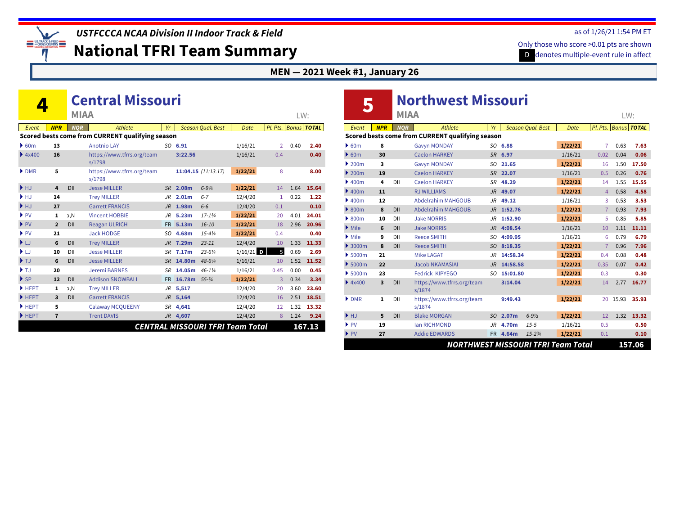*USTFCCCA NCAA Division II Indoor Track & Field*

**National TFRI Team Summary**

#### **MEN — 2021 Week #1, January 26**

|                          |                         |             | <b>Central Missouri</b>                          |           |                   |                          |                                         |               |      |                      |
|--------------------------|-------------------------|-------------|--------------------------------------------------|-----------|-------------------|--------------------------|-----------------------------------------|---------------|------|----------------------|
|                          |                         | <b>MIAA</b> |                                                  |           |                   |                          |                                         |               | LW:  |                      |
| Event                    | <b>NPR</b>              | <b>NOR</b>  | Athlete                                          | Yr        |                   | <b>Season Qual. Best</b> | Date                                    |               |      | Pl. Pts. Bonus TOTAL |
|                          |                         |             | Scored bests come from CURRENT qualifying season |           |                   |                          |                                         |               |      |                      |
| 60m                      | 13                      |             | <b>Anotnio LAY</b>                               |           | $SO$ 6.91         |                          | 1/16/21                                 | $\mathcal{P}$ | 0.40 | 2.40                 |
| 4x400                    | 16                      |             | https://www.tfrrs.org/team<br>s/1798             |           | 3:22.56           |                          | 1/16/21                                 | 0.4           |      | 0.40                 |
| DMR                      | 5                       |             | https://www.tfrrs.org/team<br>s/1798             |           |                   | 11:04.15 (11:13.17)      | 1/22/21                                 | 8             |      | 8.00                 |
| $\blacktriangleright$ HJ | 4                       | DII         | <b>Jesse MILLER</b>                              |           | SR 2.08m          | $6 - 9\frac{3}{4}$       | 1/22/21                                 | 14            | 1.64 | 15.64                |
| ▶ HJ                     | 14                      |             | <b>Trey MILLER</b>                               | JR        | 2.01m             | $6 - 7$                  | 12/4/20                                 | 1             | 0.22 | 1.22                 |
| HJ                       | 27                      |             | <b>Garrett FRANCIS</b>                           | JR.       | 1.98m             | $6-6$                    | 12/4/20                                 | 0.1           |      | 0.10                 |
| $\blacktriangleright$ PV | 1                       | Э,N         | <b>Vincent HOBBIE</b>                            | JR        | 5.23 <sub>m</sub> | $17 - 134$               | 1/22/21                                 | 20            | 4.01 | 24.01                |
| $\blacktriangleright$ PV | $\overline{2}$          | DII         | <b>Reagan ULRICH</b>                             |           | FR 5.13m          | $16 - 10$                | 1/22/21                                 | 18            | 2.96 | 20.96                |
| $\blacktriangleright$ PV | 21                      |             | <b>Jack HODGE</b>                                |           | SO 4.68m          | $15 - 4\frac{1}{4}$      | 1/22/21                                 | 0.4           |      | 0.40                 |
| ▶LJ                      | 6                       | DII         | <b>Trey MILLER</b>                               | JR        | 7.29m             | $23 - 11$                | 12/4/20                                 | 10            | 1.33 | 11.33                |
| ) LJ                     | 10                      | DII         | <b>Jesse MILLER</b>                              |           | SR 7.17m          | $23 - 6\frac{1}{4}$      | $1/16/21$ D                             | 5             | 0.69 | 2.69                 |
| $\blacktriangleright$ TJ | 6                       | DII         | <b>Jesse MILLER</b>                              |           | SR 14.80m         | 48-63/4                  | 1/16/21                                 | 10            | 1.52 | 11.52                |
| $\blacktriangleright$ TJ | 20                      |             | <b>Jeremi BARNES</b>                             | <b>SR</b> | 14.05m            | $46 - 1\%$               | 1/16/21                                 | 0.45          | 0.00 | 0.45                 |
| $\blacktriangleright$ SP | 12                      | DII         | <b>Addison SNOWBALL</b>                          | <b>FR</b> | 16.78m            | $55 - 3/4$               | 1/22/21                                 | 3             | 0.34 | 3.34                 |
| HEPT                     | 1                       | э,N         | <b>Trey MILLER</b>                               | JR        | 5,517             |                          | 12/4/20                                 | 20            | 3.60 | 23.60                |
| HEPT                     | $\overline{\mathbf{3}}$ | DII         | <b>Garrett FRANCIS</b>                           |           | JR 5,164          |                          | 12/4/20                                 | 16            | 2.51 | 18.51                |
| HEPT                     | 5                       |             | <b>Calaway MCQUEENY</b>                          |           | SR 4,641          |                          | 12/4/20                                 | 12            | 1.32 | 13.32                |
| HEPT                     | $\overline{7}$          |             | <b>Trent DAVIS</b>                               |           | JR 4,607          |                          | 12/4/20                                 | 8             | 1.24 | 9.24                 |
|                          |                         |             |                                                  |           |                   |                          | <b>CENTRAL MISSOURI TFRI Team Total</b> |               |      | 167.13               |

|                                        |                         |             | <b>Northwest Missouri</b>                        |                |             |                          |         |                      |       |        |
|----------------------------------------|-------------------------|-------------|--------------------------------------------------|----------------|-------------|--------------------------|---------|----------------------|-------|--------|
| 5                                      |                         | <b>MIAA</b> |                                                  |                |             |                          |         |                      | LW:   |        |
| Event                                  | <b>NPR</b>              | <b>NOR</b>  | Athlete                                          | Yr             |             | <b>Season Qual. Best</b> | Date    | Pl. Pts. Bonus TOTAL |       |        |
|                                        |                         |             | Scored bests come from CURRENT qualifying season |                |             |                          |         |                      |       |        |
| $\triangleright$ 60m                   | 8                       |             | <b>Gavyn MONDAY</b>                              |                | SO 6.88     |                          | 1/22/21 | 7                    | 0.63  | 7.63   |
| 60m                                    | 30                      |             | <b>Caelon HARKEY</b>                             | <b>SR</b>      | 6.97        |                          | 1/16/21 | 0.02                 | 0.04  | 0.06   |
| $\blacktriangleright$ 200 <sub>m</sub> | $\overline{\mathbf{3}}$ |             | <b>Gavyn MONDAY</b>                              | SO.            | 21.65       |                          | 1/22/21 | 16                   | 1.50  | 17.50  |
| $\geq 200m$                            | 19                      |             | <b>Caelon HARKEY</b>                             | <b>SR</b>      | 22.07       |                          | 1/16/21 | 0.5                  | 0.26  | 0.76   |
| $\blacktriangleright$ 400m             | 4                       | DII         | <b>Caelon HARKEY</b>                             | SR             | 48.29       |                          | 1/22/21 | 14                   | 1.55  | 15.55  |
| $\blacktriangleright$ 400m             | 11                      |             | <b>RJ WILLIAMS</b>                               | $J\mathcal{R}$ | 49.07       |                          | 1/22/21 | $\overline{4}$       | 0.58  | 4.58   |
| $\blacktriangleright$ 400m             | 12                      |             | <b>Abdelrahim MAHGOUB</b>                        | JR.            | 49.12       |                          | 1/16/21 | 3                    | 0.53  | 3.53   |
| $\triangleright$ 800m                  | 8                       | DII         | <b>Abdelrahim MAHGOUB</b>                        | J <sub>R</sub> | 1:52.76     |                          | 1/22/21 | $\overline{7}$       | 0.93  | 7.93   |
| $\triangleright$ 800m                  | 10                      | DII         | <b>Jake NORRIS</b>                               | $J\mathcal{R}$ | 1:52.90     |                          | 1/22/21 | 5                    | 0.85  | 5.85   |
| $\blacktriangleright$ Mile             | 6                       | DII         | <b>Jake NORRIS</b>                               | <b>JR</b>      | 4:08.54     |                          | 1/16/21 | 10                   | 1.11  | 11.11  |
| $\blacktriangleright$ Mile             | 9                       | DII         | <b>Reece SMITH</b>                               | SΟ             | 4:09.95     |                          | 1/16/21 | 6                    | 0.79  | 6.79   |
| $\blacktriangleright$ 3000m            | 8                       | DII         | <b>Reece SMITH</b>                               | SO             | 8:18.35     |                          | 1/22/21 | $\overline{7}$       | 0.96  | 7.96   |
| $\blacktriangleright$ 5000m            | 21                      |             | <b>Mike LAGAT</b>                                | .JR            | 14:58.34    |                          | 1/22/21 | 0.4                  | 0.08  | 0.48   |
| $\blacktriangleright$ 5000m            | 22                      |             | <b>Jacob NKAMASIAI</b>                           | J <sub>R</sub> | 14:58.58    |                          | 1/22/21 | 0.35                 | 0.07  | 0.42   |
| $\blacktriangleright$ 5000m            | 23                      |             | Fedrick KIPYEGO                                  |                | SO 15:01.80 |                          | 1/22/21 | 0.3                  |       | 0.30   |
| 4x400                                  | $\overline{\mathbf{3}}$ | DII         | https://www.tfrrs.org/team<br>s/1874             |                | 3:14.04     |                          | 1/22/21 | 14                   | 2.77  | 16.77  |
| $\triangleright$ DMR                   | $\mathbf{1}$            | DII         | https://www.tfrrs.org/team<br>s/1874             |                | 9:49.43     |                          | 1/22/21 | 20                   | 15.93 | 35.93  |
| HJ                                     | 5                       | DII         | <b>Blake MORGAN</b>                              | SO.            | 2.07m       | $6 - 9\frac{1}{2}$       | 1/22/21 | 12                   | 1.32  | 13.32  |
| $\blacktriangleright$ PV               | 19                      |             | <b>Ian RICHMOND</b>                              | JR.            | 4.70m       | $15 - 5$                 | 1/16/21 | 0.5                  |       | 0.50   |
| $\blacktriangleright$ PV               | 27                      |             | <b>Addie EDWARDS</b>                             |                | FR 4.64m    | $15 - 2\frac{3}{4}$      | 1/22/21 | 0.1                  |       | 0.10   |
|                                        |                         |             | <b>NORTHWEST MISSOURI TFRI Team Total</b>        |                |             |                          |         |                      |       | 157.06 |

#### as of 1/26/21 1:54 PM ET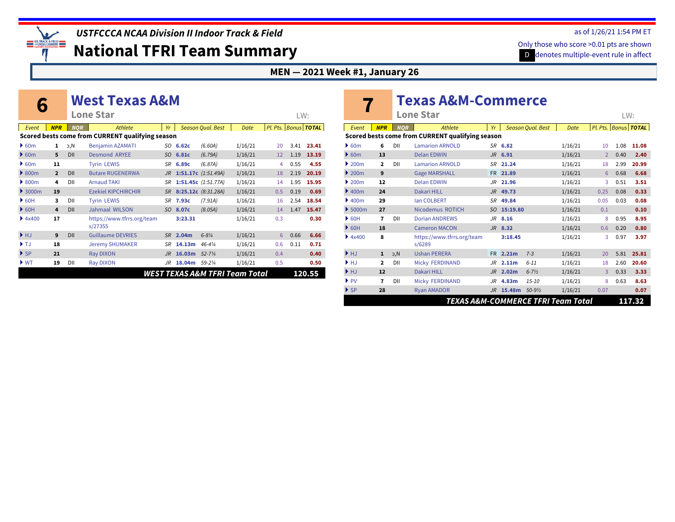

**National TFRI Team Summary**

#### **MEN — 2021 Week #1, January 26**

|                          |                |            | <b>West Texas A&amp;M</b>                        |                |          |                          |                                |                          |      |        |
|--------------------------|----------------|------------|--------------------------------------------------|----------------|----------|--------------------------|--------------------------------|--------------------------|------|--------|
|                          |                |            | <b>Lone Star</b>                                 |                |          |                          |                                |                          | LW:  |        |
| Event                    | <b>NPR</b>     | <b>NOR</b> | Athlete                                          | Yr             |          | <b>Season Qual. Best</b> | Date                           | Pl. Pts.   Bonus   TOTAL |      |        |
|                          |                |            | Scored bests come from CURRENT qualifying season |                |          |                          |                                |                          |      |        |
| 60m                      | 1              | И, с       | <b>Benjamin AZAMATI</b>                          |                | SO 6.62c | (6.60A)                  | 1/16/21                        | 20                       | 3.41 | 23.41  |
| 60m                      | 5              | DII        | <b>Desmond ARYEE</b>                             | SO.            | 6.81c    | (6.79A)                  | 1/16/21                        | 12                       | 1.19 | 13.19  |
| 60m                      | 11             |            | <b>Tyrin LEWIS</b>                               | <b>SR</b>      | 6.89c    | (6.87A)                  | 1/16/21                        | 4                        | 0.55 | 4.55   |
| $\rightarrow$ 800m       | $\overline{2}$ | DII        | <b>Butare RUGENERWA</b>                          | $J_{R}$        |          | 1:51.17c $(1:51.49A)$    | 1/16/21                        | 18                       | 2.19 | 20.19  |
| $\rightarrow$ 800m       | 4              | DII        | <b>Arnaud TAKI</b>                               | <b>SR</b>      |          | 1:51.45c (1:51.77A)      | 1/16/21                        | 14                       | 1.95 | 15.95  |
| 3000m                    | 19             |            | <b>Ezekiel KIPCHIRCHIR</b>                       | <b>SR</b>      |          | 8:25.12c (8:31.28A)      | 1/16/21                        | 0.5                      | 0.19 | 0.69   |
| $\triangleright$ 60H     | 3              | DII        | <b>Tyrin LEWIS</b>                               | <b>SR</b>      | 7.93c    | (7.91A)                  | 1/16/21                        | 16                       | 2.54 | 18.54  |
| $\triangleright$ 60H     | 4              | DII        | <b>Jahmaal WILSON</b>                            | SO.            | 8.07c    | (8.05A)                  | 1/16/21                        | 14                       | 1.47 | 15.47  |
| 4x400                    | 17             |            | https://www.tfrrs.org/team<br>s/27355            |                | 3:23.31  |                          | 1/16/21                        | 0.3                      |      | 0.30   |
| HJ                       | 9              | DII        | <b>Guillaume DEVRIES</b>                         | <b>SR</b>      | 2.04m    | $6 - 8\frac{1}{4}$       | 1/16/21                        | 6                        | 0.66 | 6.66   |
| $\blacktriangleright$ TJ | 18             |            | <b>Jeremy SHUMAKER</b>                           | SR             | 14.13m   | $46 - 4\frac{1}{4}$      | 1/16/21                        | 0.6                      | 0.11 | 0.71   |
| $\blacktriangleright$ SP | 21             |            | <b>Ray DIXON</b>                                 | $J\mathcal{R}$ | 16.03m   | $52 - 7\frac{1}{4}$      | 1/16/21                        | 0.4                      |      | 0.40   |
| $\blacktriangleright$ WT | 19             | DII        | <b>Ray DIXON</b>                                 | .JR            | 18.04m   | 59-21/4                  | 1/16/21                        | 0.5                      |      | 0.50   |
|                          |                |            |                                                  |                |          |                          | WEST TEXAS A&M TFRI Team Total |                          |      | 120.55 |
|                          |                |            |                                                  |                |          |                          |                                |                          |      |        |

|                                        |                |            | <b>Texas A&amp;M-Commerce</b><br>Lone Star       |                |                   |                          |             |                | LW:  |                          |
|----------------------------------------|----------------|------------|--------------------------------------------------|----------------|-------------------|--------------------------|-------------|----------------|------|--------------------------|
| Event                                  | <b>NPR</b>     | <b>NOR</b> | Athlete                                          | Yr             |                   | <b>Season Oual, Best</b> | <b>Date</b> |                |      | Pl. Pts.   Bonus   TOTAL |
|                                        |                |            | Scored bests come from CURRENT qualifying season |                |                   |                          |             |                |      |                          |
| $\triangleright$ 60m                   | 6              | DII        | <b>Lamarion ARNOLD</b>                           |                | SR 6.82           |                          | 1/16/21     | 10             | 1.08 | 11.08                    |
| $\triangleright$ 60m                   | 13             |            | <b>Delan EDWIN</b>                               |                | $JR$ 6.91         |                          | 1/16/21     | $\overline{2}$ | 0.40 | 2.40                     |
| $\blacktriangleright$ 200 <sub>m</sub> | $\overline{2}$ | DII        | <b>Lamarion ARNOLD</b>                           | SR             | 21.24             |                          | 1/16/21     | 18             | 2.99 | 20.99                    |
| $\blacktriangleright$ 200 <sub>m</sub> | 9              |            | <b>Gage MARSHALL</b>                             |                | FR 21.89          |                          | 1/16/21     | 6              | 0.68 | 6.68                     |
| $\blacktriangleright$ 200 <sub>m</sub> | 12             |            | <b>Delan EDWIN</b>                               | JR             | 21.96             |                          | 1/16/21     | 3              | 0.51 | 3.51                     |
| $\blacktriangleright$ 400m             | 24             |            | <b>Dakari HILL</b>                               | <b>JR</b>      | 49.73             |                          | 1/16/21     | 0.25           | 0.08 | 0.33                     |
| $\blacktriangleright$ 400m             | 29             |            | <b>Ian COLBERT</b>                               | SR             | 49.84             |                          | 1/16/21     | 0.05           | 0.03 | 0.08                     |
| $\blacktriangleright$ 5000m            | 27             |            | Nicodemus ROTICH                                 | <sub>SO</sub>  | 15:19.80          |                          | 1/16/21     | 0.1            |      | 0.10                     |
| $\triangleright$ 60H                   | 7              | DII        | <b>Dorian ANDREWS</b>                            | JR.            | 8.16              |                          | 1/16/21     | 8              | 0.95 | 8.95                     |
| $\triangleright$ 60H                   | 18             |            | <b>Cameron MACON</b>                             |                | $JR$ 8.32         |                          | 1/16/21     | 0.6            | 0.20 | 0.80                     |
| 4x400                                  | 8              |            | https://www.tfrrs.org/team<br>s/6289             |                | 3:18.45           |                          | 1/16/21     | 3              | 0.97 | 3.97                     |
| HJ                                     | $\mathbf{1}$   | b,N        | <b>Ushan PERERA</b>                              | FR.            | 2.21m             | $7 - 3$                  | 1/16/21     | 20             | 5.81 | 25.81                    |
| $\blacktriangleright$ HJ               | $\mathbf{z}$   | DII        | <b>Micky FERDINAND</b>                           | JR.            | 2.11m             | $6 - 11$                 | 1/16/21     | 18             | 2.60 | 20.60                    |
| HJ                                     | 12             |            | Dakari HILL                                      | J <sub>R</sub> | 2.02 <sub>m</sub> | $6 - 7\frac{1}{2}$       | 1/16/21     | $\overline{3}$ | 0.33 | 3.33                     |
| $\blacktriangleright$ PV               | 7              | DII        | <b>Micky FERDINAND</b>                           | JR.            | 4.83m             | $15 - 10$                | 1/16/21     | 8              | 0.63 | 8.63                     |
| $\triangleright$ SP                    | 28             |            | <b>Ryan AMADOR</b>                               |                | JR 15.48m 50-91/2 |                          | 1/16/21     | 0.07           |      | 0.07                     |
|                                        |                |            | TEXAS A&M-COMMERCE TFRI Team Total               |                |                   |                          |             |                |      | 117.32                   |

#### as of 1/26/21 1:54 PM ET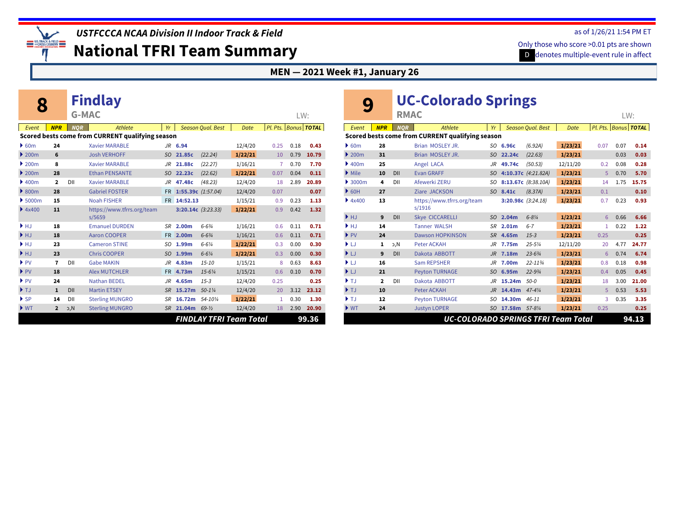

**National TFRI Team Summary**

#### **MEN — 2021 Week #1, January 26**

|                                        |                |              | <b>Findlay</b>                                   |           |                      |                          |         |                      |      |       |
|----------------------------------------|----------------|--------------|--------------------------------------------------|-----------|----------------------|--------------------------|---------|----------------------|------|-------|
|                                        |                | <b>G-MAC</b> |                                                  |           |                      |                          |         |                      | LW:  |       |
| Event                                  | <b>NPR</b>     | <b>NOR</b>   | <b>Athlete</b>                                   | Yr        |                      | <b>Season Qual. Best</b> | Date    | Pl. Pts. Bonus TOTAL |      |       |
|                                        |                |              | Scored bests come from CURRENT qualifying season |           |                      |                          |         |                      |      |       |
| $\triangleright$ 60m                   | 24             |              | <b>Xavier MARABLE</b>                            |           | JR 6.94              |                          | 12/4/20 | 0.25                 | 0.18 | 0.43  |
| $\blacktriangleright$ 200m             | 6              |              | <b>Josh VERHOFF</b>                              | SO.       | 21.85c               | (22.24)                  | 1/22/21 | 10                   | 0.79 | 10.79 |
| 200m                                   | 8              |              | <b>Xavier MARABLE</b>                            | JR        | 21.88c               | (22.27)                  | 1/16/21 | 7                    | 0.70 | 7.70  |
| $\blacktriangleright$ 200 <sub>m</sub> | 28             |              | <b>Ethan PENSANTE</b>                            | SO.       | 22.23c               | (22.62)                  | 1/22/21 | 0.07                 | 0.04 | 0.11  |
| $\blacktriangleright$ 400m             | $\overline{2}$ | DII          | <b>Xavier MARABLE</b>                            | JR        | 47.48c               | (48.23)                  | 12/4/20 | 18                   | 2.89 | 20.89 |
| $\triangleright$ 800m                  | 28             |              | <b>Gabriel FOSTER</b>                            | <b>FR</b> | 1:55.39c (1:57.04)   |                          | 12/4/20 | 0.07                 |      | 0.07  |
| 5000m                                  | 15             |              | <b>Noah FISHER</b>                               | FR.       | 14:52.13             |                          | 1/15/21 | 0.9                  | 0.23 | 1.13  |
| 4x400                                  | 11             |              | https://www.tfrrs.org/team<br>s/5659             |           | $3:20.14c$ (3:23.33) |                          | 1/22/21 | 0.9                  | 0.42 | 1.32  |
| HJ                                     | 18             |              | <b>Emanuel DURDEN</b>                            |           | SR 2.00m             | $6 - 6\frac{3}{4}$       | 1/16/21 | 0.6                  | 0.11 | 0.71  |
| HJ                                     | 18             |              | <b>Aaron COOPER</b>                              | FR.       | 2.00m                | $6 - 6\frac{3}{4}$       | 1/16/21 | 0.6                  | 0.11 | 0.71  |
| $\blacktriangleright$ HJ               | 23             |              | <b>Cameron STINE</b>                             | SO        | 1.99m                | $6 - 6\frac{1}{4}$       | 1/22/21 | 0.3                  | 0.00 | 0.30  |
| HJ                                     | 23             |              | <b>Chris COOPER</b>                              | SO.       | 1.99m                | $6 - 6\frac{1}{4}$       | 1/22/21 | 0.3                  | 0.00 | 0.30  |
| $\blacktriangleright$ PV               | 7              | DII          | <b>Gabe MAKIN</b>                                | JR        | 4.83m                | $15 - 10$                | 1/15/21 | 8                    | 0.63 | 8.63  |
| $\blacktriangleright$ PV               | 18             |              | <b>Alex MUTCHLER</b>                             | FR.       | 4.73m                | $15 - 6\frac{1}{4}$      | 1/15/21 | 0.6                  | 0.10 | 0.70  |
| $\blacktriangleright$ PV               | 24             |              | <b>Nathan BEDEL</b>                              | JR        | 4.65m                | $1.5 - 3$                | 12/4/20 | 0.25                 |      | 0.25  |
| $\blacktriangleright$ TJ               | $\mathbf{1}$   | DII          | <b>Martin ETSEY</b>                              | <b>SR</b> | 15.27m               | $50 - 1\%$               | 12/4/20 | 20                   | 3.12 | 23.12 |
| $\triangleright$ SP                    | 14             | DII          | <b>Sterling MUNGRO</b>                           | SR        | 16.72m               | 54-101/4                 | 1/22/21 | 1                    | 0.30 | 1.30  |
| $\blacktriangleright$ WT               | $\mathbf{2}$   | D,C          | <b>Sterling MUNGRO</b>                           | <b>SR</b> | 21.04m               | $69 - 1/2$               | 12/4/20 | 18                   | 2.90 | 20.90 |
|                                        |                |              |                                                  |           |                      | FINDLAY TFRI Team Total  |         |                      |      | 99.36 |

| 9                                      |                | <b>RMAC</b> | <b>UC-Colorado Springs</b>                       |                |                      |                          |             |      | LW:  |                             |
|----------------------------------------|----------------|-------------|--------------------------------------------------|----------------|----------------------|--------------------------|-------------|------|------|-----------------------------|
| Event                                  | <b>NPR</b>     | <b>NOR</b>  | Athlete                                          | Yr             |                      | <b>Season Qual. Best</b> | <b>Date</b> |      |      | Pl. Pts. Bonus <b>TOTAL</b> |
|                                        |                |             | Scored bests come from CURRENT qualifying season |                |                      |                          |             |      |      |                             |
| $\triangleright$ 60m                   | 28             |             | Brian MOSLEY JR.                                 |                | SO 6.96c             | (6.92A)                  | 1/23/21     | 0.07 | 0.07 | 0.14                        |
| $\blacktriangleright$ 200 <sub>m</sub> | 31             |             | Brian MOSLEY JR.                                 | SO.            | 22.24c               | (22.63)                  | 1/23/21     |      | 0.03 | 0.03                        |
| $\blacktriangleright$ 400m             | 25             |             | Angel LACA                                       | JR.            | 49.74c               | (50.53)                  | 12/11/20    | 0.2  | 0.08 | 0.28                        |
| $\blacktriangleright$ Mile             | 10             | DII         | <b>Evan GRAFF</b>                                | <sub>SO</sub>  |                      | 4:10.37c (4:21.82A)      | 1/23/21     | 5    | 0.70 | 5.70                        |
| $\blacktriangleright$ 3000m            | 4              | DII         | Afewerki ZERU                                    | SO.            |                      | 8:13.67c (8:38.10A)      | 1/23/21     | 14   | 1.75 | 15.75                       |
| $\triangleright$ 60H                   | 27             |             | Ziare JACKSON                                    | SO.            | 8.41c                | (8.37A)                  | 1/23/21     | 0.1  |      | 0.10                        |
| 4x400                                  | 13             |             | https://www.tfrrs.org/team<br>s/1916             |                | 3:20.98c $(3:24.18)$ |                          | 1/23/21     | 0.7  | 0.23 | 0.93                        |
| HJ                                     | 9              | DII         | <b>Skye CICCARELLI</b>                           | SO.            | 2.04m                | $6 - 8\frac{1}{4}$       | 1/23/21     | 6    | 0.66 | 6.66                        |
| ▶ HJ                                   | 14             |             | <b>Tanner WALSH</b>                              | <b>SR</b>      | 2.01 <sub>m</sub>    | $6 - 7$                  | 1/23/21     | 1    | 0.22 | 1.22                        |
| $\blacktriangleright$ PV               | 24             |             | Dawson HOPKINSON                                 | <b>SR</b>      | 4.65m                | $1.5 - 3$                | 1/23/21     | 0.25 |      | 0.25                        |
| ▶ LJ                                   | 1              | D, N        | Peter ACKAH                                      | JR             | 7.75m                | $25 - 5\frac{1}{4}$      | 12/11/20    | 20   | 4.77 | 24.77                       |
| ▶Ш                                     | 9              | DII         | Dakota ABBOTT                                    | $J\mathcal{R}$ | 7.18m                | $23 - 63/4$              | 1/23/21     | 6    | 0.74 | 6.74                        |
| ▶⊔                                     | 16             |             | <b>Sam REPSHER</b>                               | JR.            | 7.00m                | $22 - 1134$              | 1/23/21     | 0.8  | 0.18 | 0.98                        |
| $\blacktriangleright$ LJ               | 21             |             | <b>Peyton TURNAGE</b>                            | SO.            | 6.95m                | $22 - 93/4$              | 1/23/21     | 0.4  | 0.05 | 0.45                        |
| $\blacktriangleright$ T.I              | $\overline{2}$ | DII         | Dakota ABBOTT                                    | JR.            | 15.24m               | $50-0$                   | 1/23/21     | 18   | 3.00 | 21.00                       |
| $\blacktriangleright$ TJ               | 10             |             | Peter ACKAH                                      | <b>JR</b>      | 14.43m               | $47 - 4\frac{1}{4}$      | 1/23/21     | 5    | 0.53 | 5.53                        |
| $\blacktriangleright$ T.I              | 12             |             | <b>Peyton TURNAGE</b>                            | SO.            | 14.30m               | $46 - 11$                | 1/23/21     | 3    | 0.35 | 3.35                        |
| $\blacktriangleright$ WT               | 24             |             | <b>Justyn LOPER</b>                              | SO.            | 17.58m 57-81/4       |                          | 1/23/21     | 0.25 |      | 0.25                        |
|                                        |                |             | <b>UC-COLORADO SPRINGS TFRI Team Total</b>       |                |                      |                          |             |      |      | 94.13                       |

#### as of 1/26/21 1:54 PM ET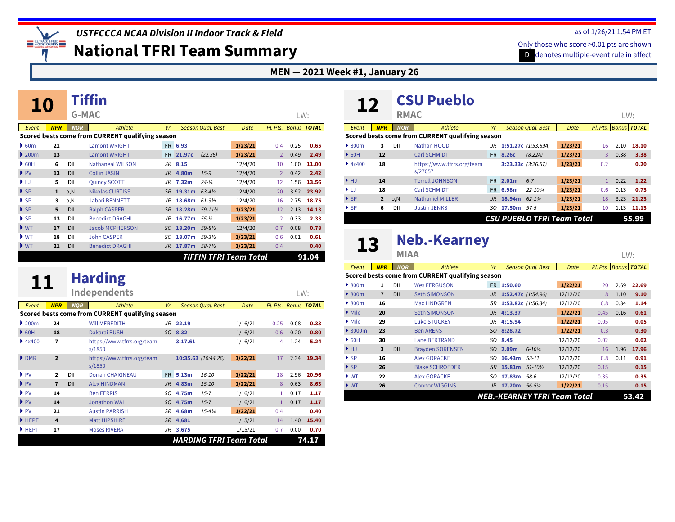

**National TFRI Team Summary**

#### **MEN — 2021 Week #1, January 26**

| 10                                     |              |              |                                                  |           |                |                          |         |                   |      |                      |
|----------------------------------------|--------------|--------------|--------------------------------------------------|-----------|----------------|--------------------------|---------|-------------------|------|----------------------|
|                                        |              | <b>G-MAC</b> |                                                  |           |                |                          |         |                   | LW:  |                      |
| Event                                  | <b>NPR</b>   | <b>NOR</b>   | <b>Athlete</b>                                   | Yr        |                | <b>Season Qual. Best</b> | Date    |                   |      | Pl. Pts. Bonus TOTAL |
|                                        |              |              | Scored bests come from CURRENT qualifying season |           |                |                          |         |                   |      |                      |
| $\triangleright$ 60m                   | 21           |              | <b>Lamont WRIGHT</b>                             |           | FR 6.93        |                          | 1/23/21 | 0.4               | 0.25 | 0.65                 |
| $\blacktriangleright$ 200 <sub>m</sub> | 13           |              | <b>Lamont WRIGHT</b>                             |           | FR 21.97c      | (22.36)                  | 1/23/21 | $\overline{2}$    | 0.49 | 2.49                 |
| $\triangleright$ 60H                   | 6            | DII          | <b>Nathaneal WILSON</b>                          |           | SR 8.15        |                          | 12/4/20 | 10                | 1.00 | 11.00                |
| $\blacktriangleright$ PV               | 13           | DII          | <b>Collin JASIN</b>                              | $J_{R}$   | 4.80m          | $15-9$                   | 12/4/20 | $\overline{2}$    | 0.42 | 2.42                 |
| ▶ LJ                                   | 5            | DII          | <b>Quincy SCOTT</b>                              | JR        | 7.32m          | $24 - \frac{1}{4}$       | 12/4/20 | 12                | 1.56 | 13.56                |
| $\blacktriangleright$ SP               | $\mathbf{1}$ | D,c          | <b>Nikolas CURTISS</b>                           | <b>SR</b> | 19.31m         | $63 - 4\frac{1}{4}$      | 12/4/20 | 20                | 3.92 | 23.92                |
| $\blacktriangleright$ SP               | 3            | И, с         | <b>Jabari BENNETT</b>                            | JR        | 18.68m         | $61 - 3\frac{1}{2}$      | 12/4/20 | 16                | 2.75 | 18.75                |
| $\blacktriangleright$ SP               | 5            | <b>DII</b>   | <b>Ralph CASPER</b>                              | <b>SR</b> | 18.28m         | 59-1134                  | 1/23/21 | $12 \overline{ }$ | 2.13 | 14.13                |
| $\blacktriangleright$ SP               | 13           | DII          | <b>Benedict DRAGHI</b>                           | JR        | 16.77m 55-1/4  |                          | 1/23/21 | $\overline{2}$    | 0.33 | 2.33                 |
| $\blacktriangleright$ WT               | 17           | <b>DII</b>   | <b>Jacob MCPHERSON</b>                           | SO.       | 18.20m         | $59 - 8\frac{1}{2}$      | 12/4/20 | 0.7               | 0.08 | 0.78                 |
| $\blacktriangleright$ WT               | 18           | DII          | <b>John CASPER</b>                               | SO.       | 18.07m 59-31/2 |                          | 1/23/21 | 0.6               | 0.01 | 0.61                 |
| $\blacktriangleright$ WT               | 21           | <b>DII</b>   | <b>Benedict DRAGHI</b>                           | JR.       | 17.87m 58-7½   |                          | 1/23/21 | 0.4               |      | 0.40                 |
|                                        |              |              |                                                  |           |                | TIFFIN TFRI Team Total   |         |                   |      | 91.04                |

| 11                       |                         |            | <b>Harding</b>                                   |         |          |                          |                                |              |                    |       |
|--------------------------|-------------------------|------------|--------------------------------------------------|---------|----------|--------------------------|--------------------------------|--------------|--------------------|-------|
|                          |                         |            | <b>Independents</b>                              |         |          |                          |                                |              | LW:                |       |
| Event                    | <b>NPR</b>              | <b>NOR</b> | Athlete                                          | Yr      |          | <b>Season Qual. Best</b> | Date                           | Pl. Pts.     | <b>Bonus TOTAL</b> |       |
|                          |                         |            | Scored bests come from CURRENT qualifying season |         |          |                          |                                |              |                    |       |
| 200m                     | 24                      |            | <b>WILL MEREDITH</b>                             |         | JR 22.19 |                          | 1/16/21                        | 0.25         | 0.08               | 0.33  |
| $\triangleright$ 60H     | 18                      |            | <b>Dakarai BUSH</b>                              |         | SO 8.32  |                          | 1/16/21                        | 0.6          | 0.20               | 0.80  |
| 4x400                    | 7                       |            | https://www.tfrrs.org/team<br>s/1850             |         | 3:17.61  |                          | 1/16/21                        | 4            | 1.24               | 5.24  |
| DMR                      | $\overline{2}$          |            | https://www.tfrrs.org/team<br>s/1850             |         |          | 10:35.63 (10:44.26)      | 1/22/21                        | 17           | 2.34               | 19.34 |
| $\blacktriangleright$ PV | $\overline{\mathbf{2}}$ | DII        | <b>Dorian CHAIGNEAU</b>                          |         | FR 5.13m | $16 - 10$                | 1/22/21                        | 18           | 2.96               | 20.96 |
| $\blacktriangleright$ PV | $\overline{7}$          | DII        | <b>Alex HINDMAN</b>                              | $J_{R}$ | 4.83m    | $15 - 10$                | 1/22/21                        | 8            | 0.63               | 8.63  |
| $\blacktriangleright$ PV | 14                      |            | <b>Ben FERRIS</b>                                | SO.     | 4.75m    | $1.5 - 7$                | 1/16/21                        | 1            | 0.17               | 1.17  |
| $\blacktriangleright$ PV | 14                      |            | <b>Jonathon WALL</b>                             | SO.     | 4.75m    | $15 - 7$                 | 1/16/21                        | $\mathbf{1}$ | 0.17               | 1.17  |
| $\blacktriangleright$ PV | 21                      |            | <b>Austin PARRISH</b>                            | SR      | 4.68m    | $15 - 4\frac{1}{4}$      | 1/22/21                        | 0.4          |                    | 0.40  |
| $H$ HEPT                 | 4                       |            | <b>Matt HIPSHIRE</b>                             |         | SR 4,681 |                          | 1/15/21                        | 14           | 1.40               | 15.40 |
| HEPT                     | 17                      |            | <b>Moses RIVERA</b>                              |         | JR 3,675 |                          | 1/15/21                        | 0.7          | 0.00               | 0.70  |
|                          |                         |            |                                                  |         |          |                          | <b>HARDING TFRI Team Total</b> |              |                    | 74.17 |

#### **[CSU Pueblo](https://www.tfrrs.org/teams/27057) 12 RMAC** *Event NPR NQR Athlete Yr Season Qual. Best Date Pl. Pts. Bonus TOTAL* LW: **Scored bests come from CURRENT qualifying season** } [800m](http://www.ustfccca.org/team-rankings-polls-central/polls-rankings-hub?coll=10582&event=6) NCAA DII Prov, **3** [Nathan HOOD](https://www.tfrrs.org/athletes/7482725) *JR* **[1:51.27c](https://www.tfrrs.org/results/66313)** *(1:53.89A)* **1/23/21** 16 2.10 **18.10** } [60H](http://www.ustfccca.org/team-rankings-polls-central/polls-rankings-hub?coll=10582&event=13) **12** [Carl SCHMIDT](https://www.tfrrs.org/athletes/7482732) FR **[8.26c](https://www.tfrrs.org/results/66313)** *(8.22A)* **1/23/21** 3 0.38 **3.38** [4x400](http://www.ustfccca.org/team-rankings-polls-central/polls-rankings-hub?coll=10582&event=19) [https://www.tfrrs.org/team](https://www.tfrrs.org/teams/27057) } **18 [3:23.33c](https://www.tfrrs.org/results/66313)** *(3:26.57)* **1/23/21** 0.2 **0.20** s/27057 } [HJ](http://www.ustfccca.org/team-rankings-polls-central/polls-rankings-hub?coll=10582&event=21) **14** [Terrell JOHNSON](https://www.tfrrs.org/athletes/7482727) FR **[2.01m](https://www.tfrrs.org/results/66313)** *6-7* **1/23/21** 1 0.22 **1.22** } [LJ](http://www.ustfccca.org/team-rankings-polls-central/polls-rankings-hub?coll=10582&event=23) **18** [Carl SCHMIDT](https://www.tfrrs.org/athletes/7482732) FR **[6.98m](https://www.tfrrs.org/results/66313)** *22-10¾* **1/23/21** 0.6 0.13 **0.73** } SP [NCAA](http://www.ustfccca.org/team-rankings-polls-central/polls-rankings-hub?coll=10582&event=25) DII Auto,NCAA DII Prov, **2** [Nathaniel MILLER](https://www.tfrrs.org/athletes/6538347) *JR* **[18.94m](https://www.tfrrs.org/results/66313)** *62-1¾* **1/23/21** 18 3.23 **21.23** } [SP](http://www.ustfccca.org/team-rankings-polls-central/polls-rankings-hub?coll=10582&event=25) NCAA DII Prov, **6** [Justin JENKS](https://www.tfrrs.org/athletes/6979636) *SO* **[17.50m](https://www.tfrrs.org/results/66313)** *57-5* **1/23/21** 10 1.13 **11.13** *CSU PUEBLO TFRI Team Total* **55.99**

### **13** [Neb.-Kearney](https://www.tfrrs.org/teams/1810)

|                            |                | MIAA       |                                                  |     |                       |                          |                              |      | LW:  |                          |
|----------------------------|----------------|------------|--------------------------------------------------|-----|-----------------------|--------------------------|------------------------------|------|------|--------------------------|
| Event                      | <b>NPR</b>     | <b>NOR</b> | Athlete                                          | Yr  |                       | <b>Season Qual. Best</b> | <b>Date</b>                  |      |      | Pl. Pts.   Bonus   TOTAL |
|                            |                |            | Scored bests come from CURRENT qualifying season |     |                       |                          |                              |      |      |                          |
| $\triangleright$ 800m      | 1              | DII        | <b>Wes FERGUSON</b>                              |     | FR 1:50.60            |                          | 1/22/21                      | 20   | 2.69 | 22.69                    |
| $\triangleright$ 800m      | $\overline{1}$ | DII        | <b>Seth SIMONSON</b>                             |     | JR 1:52.47c (1:54.96) |                          | 12/12/20                     | 8    | 1.10 | 9.10                     |
| $\triangleright$ 800m      | 16             |            | <b>Max LINDGREN</b>                              | SR  | 1:53.82c $(1:56.34)$  |                          | 12/12/20                     | 0.8  | 0.34 | 1.14                     |
| $\triangleright$ Mile      | 20             |            | <b>Seth SIMONSON</b>                             | JR  | 4:13.37               |                          | 1/22/21                      | 0.45 | 0.16 | 0.61                     |
| $\blacktriangleright$ Mile | 29             |            | <b>Luke STUCKEY</b>                              | JR  | 4:15.94               |                          | 1/22/21                      | 0.05 |      | 0.05                     |
| $\triangleright$ 3000m     | 23             |            | <b>Ben ARENS</b>                                 |     | SO 8:28.72            |                          | 1/22/21                      | 0.3  |      | 0.30                     |
| $\triangleright$ 60H       | 30             |            | <b>Lane BERTRAND</b>                             | SO  | 8.45                  |                          | 12/12/20                     | 0.02 |      | 0.02                     |
| HJ                         | 3              | DII        | <b>Brayden SORENSEN</b>                          | SO. | 2.09m                 | $6 - 10\%$               | 12/12/20                     | 16   | 1.96 | 17.96                    |
| $\triangleright$ SP        | 16             |            | <b>Alex GORACKE</b>                              | SO. | 16.43m                | $53 - 11$                | 12/12/20                     | 0.8  | 0.11 | 0.91                     |
| $\triangleright$ SP        | 26             |            | <b>Blake SCHROEDER</b>                           | SR. | 15.81m                | $51 - 10\%$              | 12/12/20                     | 0.15 |      | 0.15                     |
| $\blacktriangleright$ WT   | 22             |            | <b>Alex GORACKE</b>                              | SO  | 17.83m                | $58-6$                   | 12/12/20                     | 0.35 |      | 0.35                     |
| $\blacktriangleright$ WT   | 26             |            | <b>Connor WIGGINS</b>                            | JR  | 17.20m                | $56 - 5\%$               | 1/22/21                      | 0.15 |      | 0.15                     |
|                            |                |            |                                                  |     |                       |                          | NEB.-KEARNEY TFRI Team Total |      |      | 53.42                    |

#### as of 1/26/21 1:54 PM ET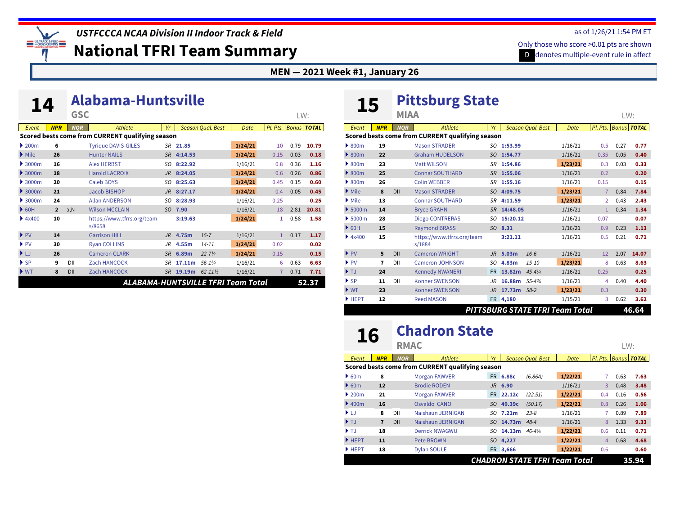**EXAMPLE 15 TRACK & FIELD**<br>CONDITION CONDITION

*USTFCCCA NCAA Division II Indoor Track & Field*

**National TFRI Team Summary**

**[Alabama-Huntsville](https://www.tfrrs.org/teams/8658) 14 GSC**

#### **MEN — 2021 Week #1, January 26**

| 14                       |                |            | Aldvania-Tiuntsynic                              |                |          |                          |         |                      |      |       |
|--------------------------|----------------|------------|--------------------------------------------------|----------------|----------|--------------------------|---------|----------------------|------|-------|
|                          |                | <b>GSC</b> |                                                  |                |          |                          |         |                      | LW:  |       |
| Event                    | <b>NPR</b>     | <b>NOR</b> | Athlete                                          | Yr             |          | <b>Season Qual. Best</b> | Date    | Pl. Pts. Bonus TOTAL |      |       |
|                          |                |            | Scored bests come from CURRENT qualifying season |                |          |                          |         |                      |      |       |
| 200m                     | 6              |            | <b>Tyrique DAVIS-GILES</b>                       |                | SR 21.85 |                          | 1/24/21 | 10                   | 0.79 | 10.79 |
| Mile                     | 26             |            | <b>Hunter NAILS</b>                              | <b>SR</b>      | 4:14.53  |                          | 1/24/21 | 0.15                 | 0.03 | 0.18  |
| 3000m                    | 16             |            | <b>Alex HERBST</b>                               | SO.            | 8:22.92  |                          | 1/16/21 | 0.8                  | 0.36 | 1.16  |
| 3000m                    | 18             |            | <b>Harold LACROIX</b>                            | JR             | 8:24.05  |                          | 1/24/21 | 0.6                  | 0.26 | 0.86  |
| 3000m                    | 20             |            | <b>Caleb BOYS</b>                                | SO.            | 8:25.63  |                          | 1/24/21 | 0.45                 | 0.15 | 0.60  |
| 3000m                    | 21             |            | Jacob BISHOP                                     | $J_{R}$        | 8:27.17  |                          | 1/24/21 | 0.4                  | 0.05 | 0.45  |
| 3000m                    | 24             |            | <b>Allan ANDERSON</b>                            | SO.            | 8:28.93  |                          | 1/16/21 | 0.25                 |      | 0.25  |
| 60H                      | $\overline{2}$ | M, C       | <b>Wilson MCCLAIN</b>                            | SO.            | 7.90     |                          | 1/16/21 | 18                   | 2.81 | 20.81 |
| 4x400                    | 10             |            | https://www.tfrrs.org/team<br>s/8658             |                | 3:19.63  |                          | 1/24/21 | 1                    | 0.58 | 1.58  |
| $\blacktriangleright$ PV | 14             |            | <b>Garrison HILL</b>                             | J <sub>R</sub> | 4.75m    | $15 - 7$                 | 1/16/21 | $\mathbf{1}$         | 0.17 | 1.17  |
| $\blacktriangleright$ PV | 30             |            | <b>Ryan COLLINS</b>                              | JR             | 4.55m    | $14 - 11$                | 1/24/21 | 0.02                 |      | 0.02  |
| ▶ LJ                     | 26             |            | <b>Cameron CLARK</b>                             | <b>SR</b>      | 6.89m    | $22 - 7\frac{1}{4}$      | 1/24/21 | 0.15                 |      | 0.15  |
| $\blacktriangleright$ SP | 9              | DII        | <b>Zach HANCOCK</b>                              | SR             | 17.11m   | 56-13/4                  | 1/16/21 | 6                    | 0.63 | 6.63  |
| $\blacktriangleright$ WT | 8              | DII        | <b>Zach HANCOCK</b>                              | <b>SR</b>      | 19.19m   | $62 - 11\frac{1}{2}$     | 1/16/21 | 7                    | 0.71 | 7.71  |
|                          |                |            | <b>ALABAMA-HUNTSVILLE TFRI Team Total</b>        |                |          |                          |         |                      |      | 52.37 |

# **15 [Pittsburg State](https://www.tfrrs.org/teams/1884)**

|                             |            | <b>MIAA</b> |                                                  |           |                   |                                 |             |                |      | LW:                      |
|-----------------------------|------------|-------------|--------------------------------------------------|-----------|-------------------|---------------------------------|-------------|----------------|------|--------------------------|
| Event                       | <b>NPR</b> | <b>NOR</b>  | <b>Athlete</b>                                   | Yr        |                   | <b>Season Qual. Best</b>        | <b>Date</b> |                |      | Pl. Pts.   Bonus   TOTAL |
|                             |            |             | Scored bests come from CURRENT qualifying season |           |                   |                                 |             |                |      |                          |
| $\triangleright$ 800m       | 19         |             | <b>Mason STRADER</b>                             | SO.       | 1:53.99           |                                 | 1/16/21     | 0.5            | 0.27 | 0.77                     |
| $\triangleright$ 800m       | 22         |             | <b>Graham HUDELSON</b>                           | SO.       | 1:54.77           |                                 | 1/16/21     | 0.35           | 0.05 | 0.40                     |
| $\triangleright$ 800m       | 23         |             | <b>Matt WILSON</b>                               | <b>SR</b> | 1:54.86           |                                 | 1/23/21     | 0.3            | 0.03 | 0.33                     |
| $\triangleright$ 800m       | 25         |             | <b>Connar SOUTHARD</b>                           | <b>SR</b> | 1:55.06           |                                 | 1/16/21     | 0.2            |      | 0.20                     |
| $\triangleright$ 800m       | 26         |             | <b>Colin WEBBER</b>                              | SR        | 1:55.16           |                                 | 1/16/21     | 0.15           |      | 0.15                     |
| $\blacktriangleright$ Mile  | 8          | DII         | <b>Mason STRADER</b>                             | SO        | 4:09.75           |                                 | 1/23/21     | $\overline{7}$ | 0.84 | 7.84                     |
| $\blacktriangleright$ Mile  | 13         |             | <b>Connar SOUTHARD</b>                           | <b>SR</b> | 4:11.59           |                                 | 1/23/21     | $\overline{2}$ | 0.43 | 2.43                     |
| $\blacktriangleright$ 5000m | 14         |             | <b>Bryce GRAHN</b>                               | <b>SR</b> | 14:48.05          |                                 | 1/16/21     | $\mathbf{1}$   | 0.34 | 1.34                     |
| $\blacktriangleright$ 5000m | 28         |             | <b>Diego CONTRERAS</b>                           | SO.       | 15:20.12          |                                 | 1/16/21     | 0.07           |      | 0.07                     |
| $\triangleright$ 60H        | 15         |             | <b>Raymond BRASS</b>                             |           | SO 8.31           |                                 | 1/16/21     | 0.9            | 0.23 | 1.13                     |
| 4x400                       | 15         |             | https://www.tfrrs.org/team<br>s/1884             |           | 3:21.11           |                                 | 1/16/21     | 0.5            | 0.21 | 0.71                     |
| $\blacktriangleright$ PV    | 5          | DII         | <b>Cameron WRIGHT</b>                            | $J$ $R$   | 5.03 <sub>m</sub> | $16-6$                          | 1/16/21     | 12             | 2.07 | 14.07                    |
| $\blacktriangleright$ PV    | 7          | DII         | <b>Cameron JOHNSON</b>                           | SO        | 4.83m             | $15 - 10$                       | 1/23/21     | 8              | 0.63 | 8.63                     |
| $\blacktriangleright$ TJ    | 24         |             | <b>Kennedy NWANERI</b>                           | <b>FR</b> | 13.82m            | $45 - 4\frac{1}{4}$             | 1/16/21     | 0.25           |      | 0.25                     |
| $\triangleright$ SP         | 11         | DII         | <b>Konner SWENSON</b>                            | JR        | 16.88m            | $5.5 - 4\frac{3}{4}$            | 1/16/21     | 4              | 0.40 | 4.40                     |
| $\blacktriangleright$ WT    | 23         |             | <b>Konner SWENSON</b>                            | <b>JR</b> | 17.73m 58-2       |                                 | 1/23/21     | 0.3            |      | 0.30                     |
| HEPT                        | 12         |             | <b>Reed MASON</b>                                |           | FR 4,180          |                                 | 1/15/21     | 3              | 0.62 | 3.62                     |
|                             |            |             |                                                  |           |                   | PITTSBURG STATE TFRI Team Total |             |                |      | 46.64                    |

# **16 [Chadron State](https://www.tfrrs.org/teams/3510)**

| Event                                  | <b>NPR</b>     | <b>NOR</b> | Athlete                                          | Yr  |           | <b>Season Oual, Best</b>             | Date    | Pl. Pts.   Bonus   TOTAL |      |       |
|----------------------------------------|----------------|------------|--------------------------------------------------|-----|-----------|--------------------------------------|---------|--------------------------|------|-------|
|                                        |                |            | Scored bests come from CURRENT qualifying season |     |           |                                      |         |                          |      |       |
| $\triangleright$ 60m                   | 8              |            | <b>Morgan FAWVER</b>                             |     | FR 6.88c  | (6.86A)                              | 1/22/21 |                          | 0.63 | 7.63  |
| $\triangleright$ 60m                   | 12             |            | <b>Brodie RODEN</b>                              | JR  | 6.90      |                                      | 1/16/21 | 3                        | 0.48 | 3.48  |
| $\blacktriangleright$ 200 <sub>m</sub> | 21             |            | <b>Morgan FAWVER</b>                             |     | FR 22.12c | (22.51)                              | 1/22/21 | 0.4                      | 0.16 | 0.56  |
| $\blacktriangleright$ 400m             | 16             |            | Osvaldo CANO                                     | SO. | 49.39c    | (50.17)                              | 1/22/21 | 0.8                      | 0.26 | 1.06  |
| $\blacktriangleright$ LJ               | 8              | DII        | Naishaun JERNIGAN                                | SO. | 7.21m     | $23 - 8$                             | 1/16/21 |                          | 0.89 | 7.89  |
| $\blacktriangleright$ T.I.             | $\overline{7}$ | DII        | Naishaun JERNIGAN                                |     | SO 14.73m | $48 - 4$                             | 1/16/21 | 8                        | 1.33 | 9.33  |
| $\blacktriangleright$ TJ               | 18             |            | <b>Derrick NWAGWU</b>                            | SO. | 14.13m    | $46 - 4\frac{1}{4}$                  | 1/22/21 | 0.6                      | 0.11 | 0.71  |
| $H$ HEPT                               | 11             |            | <b>Pete BROWN</b>                                | SO. | 4,227     |                                      | 1/22/21 | 4                        | 0.68 | 4.68  |
| $H$ HEPT                               | 18             |            | <b>Dylan SOULE</b>                               | FR. | 3,666     |                                      | 1/22/21 | 0.6                      |      | 0.60  |
|                                        |                |            |                                                  |     |           | <b>CHADRON STATE TFRI Team Total</b> |         |                          |      | 35.94 |

#### as of 1/26/21 1:54 PM ET

LW: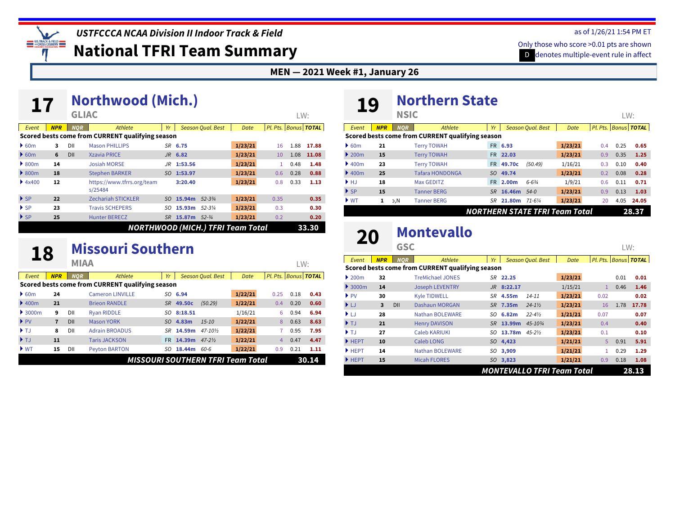*USTFCCCA NCAA Division II Indoor Track & Field*

**National TFRI Team Summary**

#### **MEN — 2021 Week #1, January 26**

|                          |            |              | NOTTIIWOOG (MICII.)                              |     |                 |                          |         |                      |      |       |
|--------------------------|------------|--------------|--------------------------------------------------|-----|-----------------|--------------------------|---------|----------------------|------|-------|
|                          |            | <b>GLIAC</b> |                                                  |     |                 |                          |         |                      | LW:  |       |
| Event                    | <b>NPR</b> | <b>NOR</b>   | Athlete                                          | Yr  |                 | <b>Season Qual. Best</b> | Date    | Pl. Pts. Bonus TOTAL |      |       |
|                          |            |              | Scored bests come from CURRENT qualifying season |     |                 |                          |         |                      |      |       |
| $\triangleright$ 60m     | 3          | DII          | <b>Mason PHILLIPS</b>                            |     | SR 6.75         |                          | 1/23/21 | 16                   | 1.88 | 17.88 |
| 60m                      | 6          | DII          | <b>Xzavia PRICE</b>                              |     | $JR$ 6.82       |                          | 1/23/21 | 10                   | 1.08 | 11.08 |
| $\triangleright$ 800m    | 14         |              | <b>Josiah MORSE</b>                              | JR  | 1:53.56         |                          | 1/23/21 | 1                    | 0.48 | 1.48  |
| $\triangleright$ 800m    | 18         |              | <b>Stephen BARKER</b>                            | SO. | 1:53.97         |                          | 1/23/21 | 0.6                  | 0.28 | 0.88  |
| 4x400                    | 12         |              | https://www.tfrrs.org/team<br>s/25484            |     | 3:20.40         |                          | 1/23/21 | 0.8                  | 0.33 | 1.13  |
| $\triangleright$ SP      | 22         |              | <b>Zechariah STICKLER</b>                        | SO. | 15.94m 52-334   |                          | 1/23/21 | 0.35                 |      | 0.35  |
| $\triangleright$ SP      | 23         |              | <b>Travis SCHEPERS</b>                           | SO  | 15.93m          | $52 - 3\frac{1}{4}$      | 1/23/21 | 0.3                  |      | 0.30  |
| $\blacktriangleright$ SP | 25         |              | <b>Hunter BERECZ</b>                             | SR  | 15.87m $52-3/4$ |                          | 1/23/21 | 0.2                  |      | 0.20  |
|                          |            |              | <b>NORTHWOOD (MICH.) TFRI Team Total</b>         |     |                 |                          |         |                      |      | 33.30 |

### **18** [Missouri Southern](https://www.tfrrs.org/teams/1868)

**[Northwood \(Mich.\)](https://www.tfrrs.org/teams/25484) 17 GLIAC**

|                            |            | <b>MIAA</b> |                                                  |     |           |                          |         |      | LW:  |                          |
|----------------------------|------------|-------------|--------------------------------------------------|-----|-----------|--------------------------|---------|------|------|--------------------------|
| Event                      | <b>NPR</b> | <b>NOR</b>  | Athlete                                          | Yr  |           | <b>Season Oual, Best</b> | Date    |      |      | Pl. Pts.   Bonus   TOTAL |
|                            |            |             | Scored bests come from CURRENT qualifying season |     |           |                          |         |      |      |                          |
| $\triangleright$ 60m       | 24         |             | <b>Cameron LINVILLE</b>                          |     | SO 6.94   |                          | 1/22/21 | 0.25 | 0.18 | 0.43                     |
| $\blacktriangleright$ 400m | 21         |             | <b>Brieon RANDLE</b>                             |     | SR 49.50c | (50.29)                  | 1/22/21 | 0.4  | 0.20 | 0.60                     |
| $\rightarrow$ 3000m        | 9          | DII         | <b>Rvan RIDDLE</b>                               | so  | 8:18.51   |                          | 1/16/21 | 6    | 0.94 | 6.94                     |
| $\blacktriangleright$ PV   | 7          | DII         | <b>Mason YORK</b>                                | SO. | 4.83m     | $15 - 10$                | 1/22/21 | 8    | 0.63 | 8.63                     |
| $\blacktriangleright$ TJ   | 8          | DII         | <b>Adrain BROADUS</b>                            | SR  | 14.59m    | $47 - 10\%$              | 1/22/21 |      | 0.95 | 7.95                     |
| $\blacktriangleright$ TJ   | 11         |             | <b>Taris JACKSON</b>                             | FR. | 14.39m    | $47 - 2\frac{1}{2}$      | 1/22/21 | 4    | 0.47 | 4.47                     |
| $\triangleright$ WT        | 15         | DII         | <b>Peyton BARTON</b>                             | SO  | 18.44m    | 60-6                     | 1/22/21 | 0.9  | 0.21 | 1.11                     |
|                            |            |             | MISSOURI SOUTHERN TFRI Team Total                |     |           |                          |         |      |      | 30.14                    |

## **19** [Northern State](https://www.tfrrs.org/teams/26973)

| ___                               |            | <b>NSIC</b> |                                                  |     |                |                          |                                       |     |      | LW:                      |
|-----------------------------------|------------|-------------|--------------------------------------------------|-----|----------------|--------------------------|---------------------------------------|-----|------|--------------------------|
| Event                             | <b>NPR</b> | <b>NOR</b>  | Athlete                                          | Yr  |                | <b>Season Oual, Best</b> | Date                                  |     |      | Pl. Pts.   Bonus   TOTAL |
|                                   |            |             | Scored bests come from CURRENT qualifying season |     |                |                          |                                       |     |      |                          |
| $\triangleright$ 60m              | 21         |             | <b>Terry TOWAH</b>                               |     | FR 6.93        |                          | 1/23/21                               | 0.4 | 0.25 | 0.65                     |
| $\triangleright$ 200 <sub>m</sub> | 15         |             | <b>Terry TOWAH</b>                               |     | FR 22.03       |                          | 1/23/21                               | 0.9 | 0.35 | 1.25                     |
| $\blacktriangleright$ 400m        | 23         |             | <b>Terry TOWAH</b>                               | FR. | 49.70c         | (50.49)                  | 1/16/21                               | 0.3 | 0.10 | 0.40                     |
| $\blacktriangleright$ 400m        | 25         |             | <b>Tafara HONDONGA</b>                           | SO. | 49.74          |                          | 1/23/21                               | 0.2 | 0.08 | 0.28                     |
| $\blacktriangleright$ HJ          | 18         |             | <b>Max GEDITZ</b>                                |     | FR 2.00m       | $6 - 6\frac{3}{4}$       | 1/9/21                                | 0.6 | 0.11 | 0.71                     |
| $\triangleright$ SP               | 15         |             | <b>Tanner BERG</b>                               | SR. | 16.46m 54-0    |                          | 1/23/21                               | 0.9 | 0.13 | 1.03                     |
| $\blacktriangleright$ WT          | 1          | b,N         | <b>Tanner BERG</b>                               | SR  | 21.80m 71-61/4 |                          | 1/23/21                               | 20  | 4.05 | 24.05                    |
|                                   |            |             |                                                  |     |                |                          | <b>NORTHERN STATE TFRI Team Total</b> |     |      | 28.37                    |

## **20** [Montevallo](https://www.tfrrs.org/teams/27221)

*Event NPR NQR Athlete Yr Season Qual. Best Date Pl. Pts. Bonus TOTAL* **Scored bests come from CURRENT qualifying season** } [200m](http://www.ustfccca.org/team-rankings-polls-central/polls-rankings-hub?coll=10582&event=3) **32** [TreMichael JONES](https://www.tfrrs.org/athletes/6529053) *SR* **[22.25](https://www.tfrrs.org/results/66209) 1/23/21** 0.01 **0.01** } [3000m](http://www.ustfccca.org/team-rankings-polls-central/polls-rankings-hub?coll=10582&event=10) **14** [Joseph LEVENTRY](https://www.tfrrs.org/athletes/6874538) *JR* **[8:22.17](https://www.tfrrs.org/results/66128)** 1/15/21 1 0.46 **1.46** } [PV](http://www.ustfccca.org/team-rankings-polls-central/polls-rankings-hub?coll=10582&event=22) **30** [Kyle TIDWELL](https://www.tfrrs.org/athletes/6529058) *SR* **[4.55m](https://www.tfrrs.org/results/66209)** *14-11* **1/23/21** 0.02 **0.02** } [LJ](http://www.ustfccca.org/team-rankings-polls-central/polls-rankings-hub?coll=10582&event=23) NCAA DII Prov, **3** [Dashaun MORGAN](https://www.tfrrs.org/athletes/6663936) *SR* **[7.35m](https://www.tfrrs.org/results/66209)** *24-1½* **1/23/21** 16 1.78 **17.78** } [LJ](http://www.ustfccca.org/team-rankings-polls-central/polls-rankings-hub?coll=10582&event=23) **28** [Nathan BOLEWARE](https://www.tfrrs.org/athletes/7482884) *SO* **[6.82m](https://www.tfrrs.org/results/66865)** *22-4½* **1/21/21** 0.07 **0.07** } [TJ](http://www.ustfccca.org/team-rankings-polls-central/polls-rankings-hub?coll=10582&event=24) **21** [Henry DAVISON](https://www.tfrrs.org/athletes/6529051) *SR* **[13.99m](https://www.tfrrs.org/results/66209)** *45-10¾* **1/23/21** 0.4 **0.40** } [TJ](http://www.ustfccca.org/team-rankings-polls-central/polls-rankings-hub?coll=10582&event=24) **27** [Caleb KARIUKI](https://www.tfrrs.org/athletes/7482891) *SO* **[13.78m](https://www.tfrrs.org/results/66209)** *45-2½* **1/23/21** 0.1 **0.10** } [HEPT](http://www.ustfccca.org/team-rankings-polls-central/polls-rankings-hub?coll=10582&event=31) **10** [Caleb LONG](https://www.tfrrs.org/athletes/7482889) *SO* **[4,423](https://www.tfrrs.org/results/66865) 1/21/21** 5 0.91 **5.91** } [HEPT](http://www.ustfccca.org/team-rankings-polls-central/polls-rankings-hub?coll=10582&event=31) **14** [Nathan BOLEWARE](https://www.tfrrs.org/athletes/7482884) *SO* **[3,909](https://www.tfrrs.org/results/66865) 1/21/21** 1 0.29 **1.29** } [HEPT](http://www.ustfccca.org/team-rankings-polls-central/polls-rankings-hub?coll=10582&event=31) **15** [Micah FLORES](https://www.tfrrs.org/athletes/7482887) *SO* **[3,823](https://www.tfrrs.org/results/66865) 1/21/21** 0.9 0.18 **1.08** *MONTEVALLO TFRI Team Total* **28.13**

#### as of 1/26/21 1:54 PM ET

LW: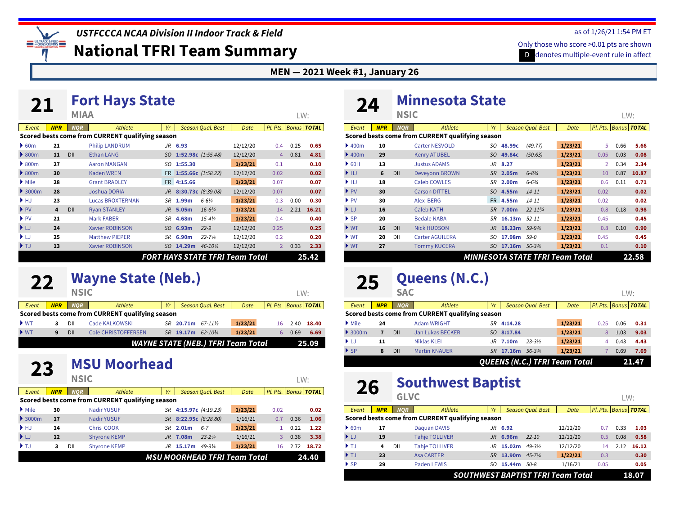*USTFCCCA NCAA Division II Indoor Track & Field*

**National TFRI Team Summary**

#### **MEN — 2021 Week #1, January 26**

| <u>Z J </u>              |            |             | TUL LINYƏ ƏLÜLÜ                                  |           |                       |                                        |          |                          |      |       |
|--------------------------|------------|-------------|--------------------------------------------------|-----------|-----------------------|----------------------------------------|----------|--------------------------|------|-------|
|                          |            | <b>MIAA</b> |                                                  |           |                       |                                        |          |                          | LW:  |       |
| Event                    | <b>NPR</b> | <b>NOR</b>  | Athlete                                          | Yr        |                       | <b>Season Qual. Best</b>               | Date     | Pl. Pts.   Bonus   TOTAL |      |       |
|                          |            |             | Scored bests come from CURRENT qualifying season |           |                       |                                        |          |                          |      |       |
| 60m                      | 21         |             | <b>Philip LANDRUM</b>                            |           | $JR$ 6.93             |                                        | 12/12/20 | 0.4                      | 0.25 | 0.65  |
| $\triangleright$ 800m    | 11         | DII         | <b>Ethan LANG</b>                                | SO        | 1:52.98c $(1:55.48)$  |                                        | 12/12/20 | 4                        | 0.81 | 4.81  |
| $\triangleright$ 800m    | 27         |             | <b>Aaron MANGAN</b>                              | SO        | 1:55.30               |                                        | 1/23/21  | 0.1                      |      | 0.10  |
| $\triangleright$ 800m    | 30         |             | <b>Kaden WREN</b>                                |           | FR 1:55.66c (1:58.22) |                                        | 12/12/20 | 0.02                     |      | 0.02  |
| $\triangleright$ Mile    | 28         |             | <b>Grant BRADLEY</b>                             |           | FR 4:15.66            |                                        | 1/23/21  | 0.07                     |      | 0.07  |
| $\rightarrow$ 3000m      | 28         |             | Joshua DORIA                                     | $J_{R}$   | 8:30.73c (8:39.08)    |                                        | 12/12/20 | 0.07                     |      | 0.07  |
| HJ                       | 23         |             | <b>Lucas BROXTERMAN</b>                          | <b>SR</b> | 1.99m                 | $6 - 6\frac{1}{4}$                     | 1/23/21  | 0.3                      | 0.00 | 0.30  |
| $\blacktriangleright$ PV | 4          | DII         | <b>Ryan STANLEY</b>                              |           | $JR$ 5.05 $m$         | $16 - 6\frac{3}{4}$                    | 1/23/21  | 14                       | 2.21 | 16.21 |
| $\blacktriangleright$ PV | 21         |             | <b>Mark FABER</b>                                | <b>SR</b> | 4.68m                 | $15 - 4\frac{1}{4}$                    | 1/23/21  | 0.4                      |      | 0.40  |
| $\blacktriangleright$ LJ | 24         |             | <b>Xavier ROBINSON</b>                           | SO.       | 6.93m                 | $22 - 9$                               | 12/12/20 | 0.25                     |      | 0.25  |
| ▶ LJ                     | 25         |             | <b>Matthew PIEPER</b>                            | SR        | 6.90m                 | $22 - 73/4$                            | 12/12/20 | 0.2                      |      | 0.20  |
| $\blacktriangleright$ TJ | 13         |             | <b>Xavier ROBINSON</b>                           | SO        | 14.29m                | 46-103/4                               | 12/12/20 | $\overline{2}$           | 0.33 | 2.33  |
|                          |            |             |                                                  |           |                       | <b>FORT HAYS STATE TFRI Team Total</b> |          |                          |      | 25.42 |

### **22 [Wayne State \(Neb.\)](https://www.tfrrs.org/teams/3690)**

**[Fort Hays State](https://www.tfrrs.org/teams/1844) 21 MIAA**

|                          |            | NSIC       |                                                  |           |           |                                           |         |    | LW:  |                          |
|--------------------------|------------|------------|--------------------------------------------------|-----------|-----------|-------------------------------------------|---------|----|------|--------------------------|
| Event                    | <b>NPR</b> | <b>NOR</b> | Athlete                                          | Yr        |           | Season Oual, Best                         | Date    |    |      | Pl. Pts.   Bonus   TOTAL |
|                          |            |            | Scored bests come from CURRENT qualifying season |           |           |                                           |         |    |      |                          |
| $\blacktriangleright$ WT |            | DII        | Cade KALKOWSKI                                   |           | SR 20.71m | $67 - 11\%$                               | 1/23/21 | 16 | 2.40 | 18.40                    |
| $\blacktriangleright$ WT | 9          | DII        | <b>Cole CHRISTOFFERSEN</b>                       | <b>SR</b> | 19.17m    | $62 - 10\frac{3}{4}$                      | 1/23/21 | 6. | 0.69 | 6.69                     |
|                          |            |            |                                                  |           |           | <b>WAYNE STATE (NEB.) TFRI Team Total</b> |         |    |      | 25.09                    |

### **23 [MSU Moorhead](https://www.tfrrs.org/teams/6347)**

|                             | .          | <b>NSIC</b> |                                                  |     |                       |                          |                                     |      | LW:  |                          |
|-----------------------------|------------|-------------|--------------------------------------------------|-----|-----------------------|--------------------------|-------------------------------------|------|------|--------------------------|
| Event                       | <b>NPR</b> | <b>NOR</b>  | Athlete                                          | Yr  |                       | <b>Season Qual. Best</b> | Date                                |      |      | Pl. Pts.   Bonus   TOTAL |
|                             |            |             | Scored bests come from CURRENT qualifying season |     |                       |                          |                                     |      |      |                          |
| $\blacktriangleright$ Mile  | 30         |             | <b>Nadir YUSUF</b>                               | SR  | 4:15.97c (4:19.23)    |                          | 1/23/21                             | 0.02 |      | 0.02                     |
| $\blacktriangleright$ 3000m | 17         |             | <b>Nadir YUSUF</b>                               |     | SR 8:22.95c (8:28.80) |                          | 1/16/21                             | 0.7  | 0.36 | 1.06                     |
| HJ                          | 14         |             | Chris COOK                                       |     | $SR$ 2.01m            | $6 - 7$                  | 1/23/21                             |      | 0.22 | 1.22                     |
| $\blacktriangleright$ LJ    | 12         |             | <b>Shyrone KEMP</b>                              | JR. | 7.08m                 | $23 - 23/4$              | 1/16/21                             | 3    | 0.38 | 3.38                     |
| $\blacktriangleright$ T.J   | 3          | DII         | <b>Shyrone KEMP</b>                              | JR. | 15.17m                | $49 - 9\frac{1}{4}$      | 1/23/21                             | 16   | 2.72 | 18.72                    |
|                             |            |             |                                                  |     |                       |                          | <b>MSU MOORHEAD TFRI Team Total</b> |      |      | 24.40                    |

## **24 [Minnesota State](https://www.tfrrs.org/teams/1866)**

|                            |            | <b>NSIC</b> |                                                  |                                 |                    |                          |             |      | LW:  |                          |
|----------------------------|------------|-------------|--------------------------------------------------|---------------------------------|--------------------|--------------------------|-------------|------|------|--------------------------|
| Event                      | <b>NPR</b> | <b>NOR</b>  | Athlete                                          | Yr                              |                    | <b>Season Qual. Best</b> | <b>Date</b> |      |      | Pl. Pts.   Bonus   TOTAL |
|                            |            |             | Scored bests come from CURRENT qualifying season |                                 |                    |                          |             |      |      |                          |
| $\blacktriangleright$ 400m | 10         |             | <b>Carter NESVOLD</b>                            | SO.                             | 48.99c             | (49.77)                  | 1/23/21     | 5.   | 0.66 | 5.66                     |
| $\blacktriangleright$ 400m | 29         |             | <b>Kenry ATUBEL</b>                              | SO.                             | 49.84c             | (50.63)                  | 1/23/21     | 0.05 | 0.03 | 0.08                     |
| $\triangleright$ 60H       | 13         |             | <b>Justus ADAMS</b>                              | JR                              | 8.27               |                          | 1/23/21     | 2    | 0.34 | 2.34                     |
| $\blacktriangleright$ HJ   | 6          | DII         | <b>Deveyonn BROWN</b>                            | SR.                             | 2.05m              | $6 - 8\frac{3}{4}$       | 1/23/21     | 10   | 0.87 | 10.87                    |
| $\blacktriangleright$ HJ   | 18         |             | <b>Caleb COWLES</b>                              | SR                              | 2.00m              | $6 - 6\frac{3}{4}$       | 1/23/21     | 0.6  | 0.11 | 0.71                     |
| $\blacktriangleright$ PV   | 30         |             | <b>Carson DITTEL</b>                             | SO.                             | 4.55m              | $14 - 11$                | 1/23/21     | 0.02 |      | 0.02                     |
| $\blacktriangleright$ PV   | 30         |             | Alex BERG                                        | <b>FR</b>                       | 4.55m              | $14 - 11$                | 1/23/21     | 0.02 |      | 0.02                     |
| $\blacktriangleright$ LJ   | 16         |             | <b>Caleb KATH</b>                                | <b>SR</b>                       | 7.00m              | $22 - 11\frac{3}{4}$     | 1/23/21     | 0.8  | 0.18 | 0.98                     |
| $\triangleright$ SP        | 20         |             | <b>Bedale NABA</b>                               | SR                              | 16.13m 52-11       |                          | 1/23/21     | 0.45 |      | 0.45                     |
| $\blacktriangleright$ WT   | 16         | DII         | <b>Nick HUDSON</b>                               | <b>JR</b>                       | 18.23 <sub>m</sub> | 59-93/4                  | 1/23/21     | 0.8  | 0.10 | 0.90                     |
| $\blacktriangleright$ WT   | 20         | DII         | <b>Carter AGUILERA</b>                           | SO                              | 17.98m             | $59-0$                   | 1/23/21     | 0.45 |      | 0.45                     |
| $\blacktriangleright$ WT   | 27         |             | <b>Tommy KUCERA</b>                              | SO.                             | 17.16m             | 56-33/4                  | 1/23/21     | 0.1  |      | 0.10                     |
|                            |            |             |                                                  | MINNESOTA STATE TFRI Team Total |                    |                          |             |      |      | 22.58                    |

# **25 [Queens \(N.C.\)](https://www.tfrrs.org/teams/16280)**

| Event                    | <b>NPR</b> | <b>NOR</b> | Athlete                                          | Yr  |            | <b>Season Oual, Best</b>             | Date    |      |      | Pl. Pts.   Bonus   TOTAL |
|--------------------------|------------|------------|--------------------------------------------------|-----|------------|--------------------------------------|---------|------|------|--------------------------|
|                          |            |            | Scored bests come from CURRENT qualifying season |     |            |                                      |         |      |      |                          |
| $\triangleright$ Mile    | 24         |            | <b>Adam WRIGHT</b>                               | SR  | 4:14.28    |                                      | 1/23/21 | 0.25 | 0.06 | 0.31                     |
| $\rightarrow$ 3000m      |            | DII        | Jan Lukas BECKER                                 |     | SO 8:17.84 |                                      | 1/23/21 | 8    | 1.03 | 9.03                     |
| $\blacktriangleright$ LJ | 11         |            | <b>Niklas KLEI</b>                               |     | $JR$ 7.10m | $23 - 3\frac{1}{2}$                  | 1/23/21 | 4    | 0.43 | 4.43                     |
| $\triangleright$ SP      | 8          | DII        | <b>Martin KNAUER</b>                             | SR. | 17.16m     | $.56 - 3\frac{3}{4}$                 | 1/23/21 |      | 0.69 | 7.69                     |
|                          |            |            |                                                  |     |            | <b>QUEENS (N.C.) TFRI Team Total</b> |         |      |      | 21.47                    |

### **26 [Southwest Baptist](https://www.tfrrs.org/teams/1902)**

|                          |            | <b>GLVC</b> |                                                  |     |           |                          |          |      | LW:  |                          |
|--------------------------|------------|-------------|--------------------------------------------------|-----|-----------|--------------------------|----------|------|------|--------------------------|
| Event                    | <b>NPR</b> | <b>NOR</b>  | Athlete                                          | Yr  |           | <b>Season Qual. Best</b> | Date     |      |      | Pl. Pts.   Bonus   TOTAL |
|                          |            |             | Scored bests come from CURRENT qualifying season |     |           |                          |          |      |      |                          |
| $\triangleright$ 60m     | 17         |             | Daguan DAVIS                                     |     | $JR$ 6.92 |                          | 12/12/20 | 0.7  | 0.33 | 1.03                     |
| ▶ LJ                     | 19         |             | <b>Tahje TOLLIVER</b>                            |     | JR 6.96m  | $22 - 10$                | 12/12/20 | 0.5  | 0.08 | 0.58                     |
| $\blacktriangleright$ TJ | 4          | DII         | <b>Tahje TOLLIVER</b>                            | JR. | 15.02m    | $49 - 3\frac{1}{2}$      | 12/12/20 | 14   | 2.12 | 16.12                    |
| $\blacktriangleright$ TJ | 23         |             | <b>Asa CARTER</b>                                | SR. | 13.90m    | $45 - 7\frac{1}{4}$      | 1/22/21  | 0.3  |      | 0.30                     |
| $\triangleright$ SP      | 29         |             | Paden LEWIS                                      | SO  | 15.44m    | .50-8                    | 1/16/21  | 0.05 |      | 0.05                     |
|                          |            |             | <b>SOUTHWEST BAPTIST TFRI Team Total</b>         |     |           |                          |          |      |      | 18.07                    |

#### as of 1/26/21 1:54 PM ET

LW: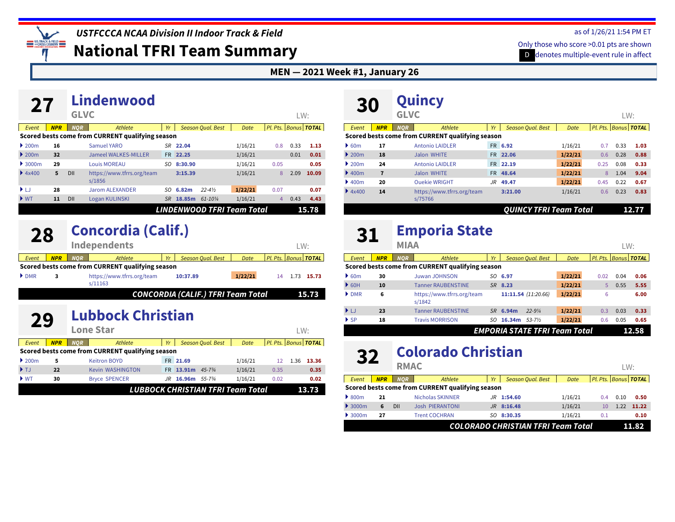*USTFCCCA NCAA Division II Indoor Track & Field*

**National TFRI Team Summary**

#### **MEN — 2021 Week #1, January 26**

| 27                                     |            |             | Lindenwood                                       |     |          |                                   |         |                          |      |       |
|----------------------------------------|------------|-------------|--------------------------------------------------|-----|----------|-----------------------------------|---------|--------------------------|------|-------|
|                                        |            | <b>GLVC</b> |                                                  |     |          |                                   |         |                          | LW:  |       |
| Event                                  | <b>NPR</b> | <b>NOR</b>  | Athlete                                          | Yr  |          | <b>Season Qual. Best</b>          | Date    | Pl. Pts.   Bonus   TOTAL |      |       |
|                                        |            |             | Scored bests come from CURRENT qualifying season |     |          |                                   |         |                          |      |       |
| 200m                                   | 16         |             | Samuel YARO                                      |     | SR 22.04 |                                   | 1/16/21 | 0.8                      | 0.33 | 1.13  |
| $\blacktriangleright$ 200 <sub>m</sub> | 32         |             | <b>Jameel WALKES-MILLER</b>                      |     | FR 22.25 |                                   | 1/16/21 |                          | 0.01 | 0.01  |
| $\rightarrow$ 3000 $m$                 | 29         |             | <b>Louis MOREAU</b>                              | SO. | 8:30.90  |                                   | 1/16/21 | 0.05                     |      | 0.05  |
| 4x400                                  | 5          | DII         | https://www.tfrrs.org/team<br>s/1856             |     | 3:15.39  |                                   | 1/16/21 | 8                        | 2.09 | 10.09 |
| ÞЫ                                     | 28         |             | <b>Jarom ALEXANDER</b>                           | SO. | 6.82m    | $22 - 4\frac{1}{2}$               | 1/22/21 | 0.07                     |      | 0.07  |
| $\blacktriangleright$ WT               | 11         | DII         | Logan KULINSKI                                   | SR. | 18.85m   | $61 - 10\frac{1}{4}$              | 1/16/21 | 4                        | 0.43 | 4.43  |
|                                        |            |             |                                                  |     |          | <b>LINDENWOOD TFRI Team Total</b> |         |                          |      | 15.78 |

### **28 [Concordia \(Calif.\)](https://www.tfrrs.org/teams/11163)**

| --                   |            |            | <b>Independents</b>                              |           |                                           |         |    | LW: |                      |
|----------------------|------------|------------|--------------------------------------------------|-----------|-------------------------------------------|---------|----|-----|----------------------|
| Event                | <b>NPR</b> | <b>NOR</b> | Athlete                                          | <b>Vr</b> | Season Oual, Best                         | Date    |    |     | Pl. Pts. Bonus TOTAL |
|                      |            |            | Scored bests come from CURRENT qualifying season |           |                                           |         |    |     |                      |
| $\triangleright$ DMR |            |            | https://www.tfrrs.org/team<br>s/11163            |           | 10:37.89                                  | 1/22/21 | 14 |     | 1.73 15.73           |
|                      |            |            |                                                  |           | <b>CONCORDIA (CALIF.) TFRI Team Total</b> |         |    |     | 15.73                |

### **29** [Lubbock Christian](https://www.tfrrs.org/teams/56791)

|                                        |            |              | Lone Star                                        |     |               |                                   |         |                             |      | W:    |
|----------------------------------------|------------|--------------|--------------------------------------------------|-----|---------------|-----------------------------------|---------|-----------------------------|------|-------|
| Event                                  | <b>NPR</b> | NOR <b>N</b> | Athlete                                          | Yr  |               | <b>Season Oual, Best</b>          | Date    | Pl. Pts. Bonus <b>TOTAL</b> |      |       |
|                                        |            |              | Scored bests come from CURRENT qualifying season |     |               |                                   |         |                             |      |       |
| $\blacktriangleright$ 200 <sub>m</sub> | 5          |              | <b>Keitron BOYD</b>                              |     | FR 21.69      |                                   | 1/16/21 | 12                          | 1.36 | 13.36 |
| $\blacktriangleright$ T.J.             | 22         |              | <b>Kevin WASHINGTON</b>                          | FR. | 13.91m        | $4.5 - 7\frac{3}{4}$              | 1/16/21 | 0.35                        |      | 0.35  |
| $\blacktriangleright$ WT               | 30         |              | <b>Bryce SPENCER</b>                             | JR  | 16.96m 55-734 |                                   | 1/16/21 | 0.02                        |      | 0.02  |
|                                        |            |              |                                                  |     |               | LUBBOCK CHRISTIAN TFRI Team Total |         |                             |      | 13.73 |

| 30                                     |            | Quincy<br><b>GLVC</b> |                                                  |     |                          |         |      | LW:  |                          |
|----------------------------------------|------------|-----------------------|--------------------------------------------------|-----|--------------------------|---------|------|------|--------------------------|
| Event                                  | <b>NPR</b> | <b>NOR</b>            | Athlete                                          | Yr  | <b>Season Qual. Best</b> | Date    |      |      | Pl. Pts.   Bonus   TOTAL |
|                                        |            |                       | Scored bests come from CURRENT qualifying season |     |                          |         |      |      |                          |
| 60m                                    | 17         |                       | <b>Antonio LAIDLER</b>                           |     | FR 6.92                  | 1/16/21 | 0.7  | 0.33 | 1.03                     |
| $\triangleright$ 200 <sub>m</sub>      | 18         |                       | Jalon WHITE                                      | FR. | 22.06                    | 1/22/21 | 0.6  | 0.28 | 0.88                     |
| $\blacktriangleright$ 200 <sub>m</sub> | 24         |                       | <b>Antonio LAIDLER</b>                           |     | FR 22.19                 | 1/22/21 | 0.25 | 0.08 | 0.33                     |
| $\blacktriangleright$ 400m             | 7          |                       | <b>Jalon WHITE</b>                               | FR. | 48.64                    | 1/22/21 | 8    | 1.04 | 9.04                     |
| $\blacktriangleright$ 400m             | 20         |                       | <b>Ouekie WRIGHT</b>                             | JR. | 49.47                    | 1/22/21 | 0.45 | 0.22 | 0.67                     |
| 4x400                                  | 14         | s/75766               | https://www.tfrrs.org/team                       |     | 3:21.00                  | 1/16/21 | 0.6  | 0.23 | 0.83                     |
|                                        |            |                       |                                                  |     | OUINCY TFRI Team Total   |         |      |      | 12.77                    |

## **[Emporia State](https://www.tfrrs.org/teams/1842) 31 MIAA**

|                          |            | $\cdots$   |                                                  |     |         |                          |                                      |      | $L VV$ . |                          |
|--------------------------|------------|------------|--------------------------------------------------|-----|---------|--------------------------|--------------------------------------|------|----------|--------------------------|
| Event                    | <b>NPR</b> | <b>NOR</b> | Athlete                                          | Yr  |         | <b>Season Oual, Best</b> | Date                                 |      |          | Pl. Pts.   Bonus   TOTAL |
|                          |            |            | Scored bests come from CURRENT qualifying season |     |         |                          |                                      |      |          |                          |
| $\triangleright$ 60m     | 30         |            | <b>Juwan JOHNSON</b>                             |     | SO 6.97 |                          | 1/22/21                              | 0.02 | 0.04     | 0.06                     |
| $\triangleright$ 60H     | 10         |            | <b>Tanner RAUBENSTINE</b>                        | SR. | 8.23    |                          | 1/22/21                              | 5    | 0.55     | 5.55                     |
| $\triangleright$ DMR     | 6          |            | https://www.tfrrs.org/team<br>s/1842             |     |         | $11:11.54$ (11:20.66)    | 1/22/21                              | 6    |          | 6.00                     |
| $\blacktriangleright$ LJ | 23         |            | <b>Tanner RAUBENSTINE</b>                        | SR. | 6.94m   | $22 - 9\frac{1}{4}$      | 1/22/21                              | 0.3  | 0.03     | 0.33                     |
| $\triangleright$ SP      | 18         |            | <b>Travis MORRISON</b>                           | SO. | 16.34m  | $53 - 7\frac{1}{2}$      | 1/22/21                              | 0.6  | 0.05     | 0.65                     |
|                          |            |            |                                                  |     |         |                          | <b>EMPORIA STATE TFRI Team Total</b> |      |          | 12.58                    |

## **22 [Colorado Christian](https://www.tfrrs.org/teams/27055)**

|                             |            | <b>RMAC</b> |                                                  |    |                                    |             |     | LW:  |                          |
|-----------------------------|------------|-------------|--------------------------------------------------|----|------------------------------------|-------------|-----|------|--------------------------|
| Event                       | <b>NPR</b> | <b>NOR</b>  | Athlete                                          | Yr | Season Qual. Best                  | <b>Date</b> |     |      | Pl. Pts.   Bonus   TOTAL |
|                             |            |             | Scored bests come from CURRENT qualifying season |    |                                    |             |     |      |                          |
| $\triangleright$ 800m       | 21         |             | <b>Nicholas SKINNER</b>                          |    | $JR$ 1:54.60                       | 1/16/21     | 0.4 | 0.10 | 0.50                     |
| $\blacktriangleright$ 3000m | 6          | DII         | <b>Josh PIERANTONI</b>                           |    | JR 8:16.48                         | 1/16/21     | 10  | 1.22 | 11.22                    |
| $\blacktriangleright$ 3000m | 27         |             | <b>Trent COCHRAN</b>                             |    | SO 8:30.35                         | 1/16/21     | 0.1 |      | 0.10                     |
|                             |            |             |                                                  |    | COLORADO CHRISTIAN TFRI Team Total |             |     |      | 11.82                    |

#### as of 1/26/21 1:54 PM ET

 $\overline{\mathbf{L}}$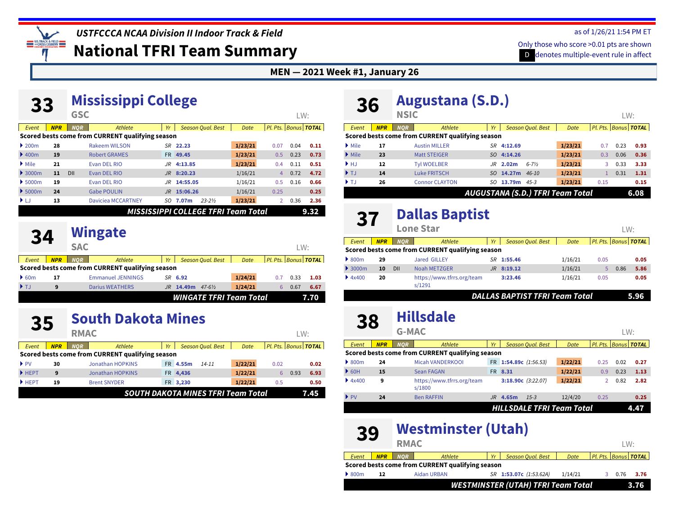**LIS TRACK & FIELD CROSS COUNTRY** 

### *USTFCCCA NCAA Division II Indoor Track & Field*

**National TFRI Team Summary**

#### **MEN — 2021 Week #1, January 26**

| 33                         |            |                          | LW:                                              |     |               |                                     |         |                |      |                      |
|----------------------------|------------|--------------------------|--------------------------------------------------|-----|---------------|-------------------------------------|---------|----------------|------|----------------------|
| Event                      | <b>NPR</b> | <b>GSC</b><br><b>NOR</b> | <b>Athlete</b>                                   | Yr  |               | <b>Season Qual. Best</b>            | Date    |                |      | Pl. Pts. Bonus TOTAL |
|                            |            |                          | Scored bests come from CURRENT qualifying season |     |               |                                     |         |                |      |                      |
| 200m                       | 28         |                          | <b>Rakeem WILSON</b>                             |     | SR 22.23      |                                     | 1/23/21 | 0.07           | 0.04 | 0.11                 |
| $\blacktriangleright$ 400m | 19         |                          | <b>Robert GRAMES</b>                             |     | FR 49.45      |                                     | 1/23/21 | 0.5            | 0.23 | 0.73                 |
| $\blacktriangleright$ Mile | 21         |                          | Evan DEL RIO                                     | JR. | 4:13.85       |                                     | 1/23/21 | 0.4            | 0.11 | 0.51                 |
| $\rightarrow$ 3000m        | 11         | DII                      | Evan DEL RIO                                     |     | $JR$ 8:20.23  |                                     | 1/16/21 | 4              | 0.72 | 4.72                 |
| 5000m                      | 19         |                          | Evan DEL RIO                                     |     | $JR$ 14:55.05 |                                     | 1/16/21 | 0.5            | 0.16 | 0.66                 |
| 5000m                      | 24         |                          | <b>Gabe POULIN</b>                               |     | JR 15:06.26   |                                     | 1/16/21 | 0.25           |      | 0.25                 |
| D-LJ                       | 13         |                          | <b>Daviciea MCCARTNEY</b>                        | SO. | 7.07m         | $23 - 2\frac{1}{2}$                 | 1/23/21 | $\overline{2}$ | 0.36 | 2.36                 |
|                            |            |                          |                                                  |     |               | MISSISSIPPI COLLEGE TFRI Team Total |         |                |      | 9.32                 |

### **24 [Wingate](https://www.tfrrs.org/teams/27059)**

|                           |            | <b>SAC</b> |                                                  |    |         |                                |         |   | LW:  |                          |
|---------------------------|------------|------------|--------------------------------------------------|----|---------|--------------------------------|---------|---|------|--------------------------|
| Event                     | <b>NPR</b> | NOR.       | Athlete                                          | Yr |         | <b>Season Oual, Best</b>       | Date    |   |      | Pl. Pts.   Bonus   TOTAL |
|                           |            |            | Scored bests come from CURRENT qualifying season |    |         |                                |         |   |      |                          |
| $\triangleright$ 60m      | 17         |            | <b>Emmanuel JENNINGS</b>                         |    | SR 6.92 |                                | 1/24/21 |   | 0.33 | 1.03                     |
| $\blacktriangleright$ T.J | 9          |            | <b>Darius WEATHERS</b>                           | JR | 14.49m  | $47 - 6\frac{1}{2}$            | 1/24/21 | b | 0.67 | 6.67                     |
|                           |            |            |                                                  |    |         | <b>WINGATE TFRI Team Total</b> |         |   |      | 7.70                     |

### **[South Dakota Mines](https://www.tfrrs.org/teams/11192)**

|                          |                                           | <b>RMAC</b>                                      |    |                          |           |         |                      | LW:  |      |  |
|--------------------------|-------------------------------------------|--------------------------------------------------|----|--------------------------|-----------|---------|----------------------|------|------|--|
| Event                    | <b>NPR</b>                                | Athlete<br><b>NOR</b>                            | Yr | <b>Season Qual. Best</b> |           | Date    | Pl. Pts. Bonus TOTAL |      |      |  |
|                          |                                           | Scored bests come from CURRENT qualifying season |    |                          |           |         |                      |      |      |  |
| $\blacktriangleright$ PV | 30                                        | <b>Jonathan HOPKINS</b>                          |    | FR 4.55m                 | $14 - 11$ | 1/22/21 | 0.02                 |      | 0.02 |  |
| $H$ HEPT                 | 9                                         | <b>Jonathan HOPKINS</b>                          |    | FR 4,436                 |           | 1/22/21 | 6                    | 0.93 | 6.93 |  |
| HEPT                     | 19                                        | <b>Brent SNYDER</b>                              |    | FR 3,230                 |           | 1/22/21 | 0.5                  |      | 0.50 |  |
|                          | <b>SOUTH DAKOTA MINES TFRI Team Total</b> |                                                  |    |                          |           |         |                      |      |      |  |

## **[Augustana \(S.D.\)](https://www.tfrrs.org/teams/1906)**

| 50                        |            | <b>NSIC</b> | $1.44$ matrix $\sim$                             |                                         |                |                          |         |      | LW:  |                          |
|---------------------------|------------|-------------|--------------------------------------------------|-----------------------------------------|----------------|--------------------------|---------|------|------|--------------------------|
| Event                     | <b>NPR</b> | <b>NOR</b>  | Athlete                                          | Yr                                      |                | <b>Season Qual. Best</b> | Date    |      |      | Pl. Pts.   Bonus   TOTAL |
|                           |            |             | Scored bests come from CURRENT qualifying season |                                         |                |                          |         |      |      |                          |
| $\triangleright$ Mile     | 17         |             | <b>Austin MILLER</b>                             |                                         | SR 4:12.69     |                          | 1/23/21 | 0.7  | 0.23 | 0.93                     |
| $\triangleright$ Mile     | 23         |             | <b>Matt STEIGER</b>                              |                                         | SO 4:14.26     |                          | 1/23/21 | 0.3  | 0.06 | 0.36                     |
| $\blacktriangleright$ HJ  | 12         |             | <b>Tyl WOELBER</b>                               | JR.                                     | 2.02m          | $6 - 7\frac{1}{2}$       | 1/23/21 | 3.   | 0.33 | 3.33                     |
| $\blacktriangleright$ TJ  | 14         |             | <b>Luke FRITSCH</b>                              | SO.                                     | 14.27m $46-10$ |                          | 1/23/21 |      | 0.31 | 1.31                     |
| $\blacktriangleright$ T.I | 26         |             | <b>Connor CLAYTON</b>                            | SO                                      | 13.79m         | $4.5 - 3$                | 1/23/21 | 0.15 |      | 0.15                     |
|                           |            |             |                                                  | <b>AUGUSTANA (S.D.) TFRI Team Total</b> |                |                          |         |      |      | 6.08                     |

## **[Dallas Baptist](https://www.tfrrs.org/teams/1291) 37 Lone Star**

|                             |            |            | <b>Lone Star</b>                                 |     |                                       |             |      | LW:  |                          |
|-----------------------------|------------|------------|--------------------------------------------------|-----|---------------------------------------|-------------|------|------|--------------------------|
| Event                       | <b>NPR</b> | <b>NOR</b> | Athlete                                          | Yr  | <b>Season Oual, Best</b>              | <b>Date</b> |      |      | Pl. Pts.   Bonus   TOTAL |
|                             |            |            | Scored bests come from CURRENT qualifying season |     |                                       |             |      |      |                          |
| $\triangleright$ 800m       | 29         |            | <b>Jared GILLEY</b>                              | SR  | 1:55.46                               | 1/16/21     | 0.05 |      | 0.05                     |
| $\blacktriangleright$ 3000m | 10         | DII        | <b>Noah METZGER</b>                              | JR. | 8:19.12                               | 1/16/21     | 5.   | 0.86 | 5.86                     |
| 4x400                       | 20         |            | https://www.tfrrs.org/team<br>s/1291             |     | 3:23.46                               | 1/16/21     | 0.05 |      | 0.05                     |
|                             |            |            |                                                  |     | <b>DALLAS BAPTIST TFRI Team Total</b> |             |      |      | 5.96                     |

### **28 [Hillsdale](https://www.tfrrs.org/teams/1800)**

| 90                       |            |              |                                                  |           |                      |                   |                                  |                |      |                          |
|--------------------------|------------|--------------|--------------------------------------------------|-----------|----------------------|-------------------|----------------------------------|----------------|------|--------------------------|
|                          |            | <b>G-MAC</b> |                                                  |           |                      |                   |                                  |                | LW:  |                          |
| Event                    | <b>NPR</b> | <b>NOR</b>   | Athlete                                          | Yr        |                      | Season Oual, Best | Date                             |                |      | Pl. Pts.   Bonus   TOTAL |
|                          |            |              | Scored bests come from CURRENT qualifying season |           |                      |                   |                                  |                |      |                          |
| $\triangleright$ 800m    | 24         |              | Micah VANDERKOOL                                 | <b>FR</b> | 1:54.89c $(1:56.53)$ |                   | 1/22/21                          | 0.25           | 0.02 | 0.27                     |
| $\triangleright$ 60H     | 15         |              | <b>Sean FAGAN</b>                                |           | FR 8.31              |                   | 1/22/21                          | 0.9            | 0.23 | 1.13                     |
| 4x400                    | 9          |              | https://www.tfrrs.org/team<br>s/1800             |           | 3:18.90c $(3:22.07)$ |                   | 1/22/21                          | $\overline{2}$ | 0.82 | 2.82                     |
| $\blacktriangleright$ PV | 24         |              | <b>Ben RAFFIN</b>                                | JR.       | 4.65m                | $1.5 - 3$         | 12/4/20                          | 0.25           |      | 0.25                     |
|                          |            |              |                                                  |           |                      |                   | <b>HILLSDALE TFRI Team Total</b> |                |      | 4.47                     |

|                       | <b>Westminster (Utah)</b><br>39<br><b>RMAC</b> |            |                                                  |           |                                           |         |                      |      | l W· |
|-----------------------|------------------------------------------------|------------|--------------------------------------------------|-----------|-------------------------------------------|---------|----------------------|------|------|
| Event                 | <b>NPR</b>                                     | <b>NOR</b> | Athlete                                          | <b>Vr</b> | <b>Season Oual, Best</b>                  | Date    | Pl. Pts. Bonus TOTAL |      |      |
|                       |                                                |            | Scored bests come from CURRENT qualifying season |           |                                           |         |                      |      |      |
| $\triangleright$ 800m | 12                                             |            | <b>Aidan URBAN</b>                               |           | SR 1:53.07c (1:53.62A)                    | 1/14/21 |                      | 0.76 | 3.76 |
|                       |                                                |            |                                                  |           | <b>WESTMINSTER (UTAH) TFRI Team Total</b> |         |                      |      | 3.76 |

#### as of 1/26/21 1:54 PM ET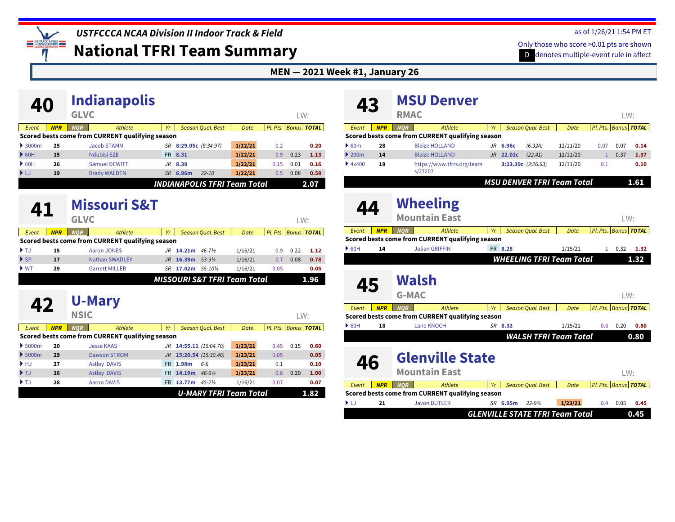as of 1/26/21 1:54 PM ET Only those who score >0.01 pts are shown

D denotes multiple-event rule in affect

**National TFRI Team Summary**

US TRACK & FIELD π

#### **MEN — 2021 Week #1, January 26**

| 40                                     |            |                              | <b>Indianapolis</b>                              |     |                       |                          |                                     |                             |      |                                      |
|----------------------------------------|------------|------------------------------|--------------------------------------------------|-----|-----------------------|--------------------------|-------------------------------------|-----------------------------|------|--------------------------------------|
|                                        |            | <b>GLVC</b>                  |                                                  |     |                       |                          |                                     |                             | LW:  |                                      |
| Event                                  | <b>NPR</b> | <b>NOR</b>                   | Athlete                                          | Yr  |                       | <b>Season Oual, Best</b> | Date                                | Pl. Pts. Bonus <b>TOTAL</b> |      |                                      |
|                                        |            |                              | Scored bests come from CURRENT qualifying season |     |                       |                          |                                     |                             |      |                                      |
| $\rightarrow$ 3000m                    | 25         |                              | <b>Jacob STAMM</b>                               |     | SR 8:29.05c (8:34.97) |                          | 1/22/21                             | 0.2                         |      | 0.20                                 |
| $\triangleright$ 60H                   | 15         |                              | <b>Ndubisi EZE</b>                               | FR. | 8.31                  |                          | 1/22/21                             | 0.9                         | 0.23 | 1.13                                 |
| $\triangleright$ 60H                   | 26         |                              | <b>Samuel DEWITT</b>                             | JR. | 8.39                  |                          | 1/22/21                             | 0.15                        | 0.01 | 0.16                                 |
| ▶ LJ                                   | 19         |                              | <b>Brady WALDEN</b>                              |     | SR 6.96m              | $22 - 10$                | 1/22/21                             | 0.5                         | 0.08 | 0.58                                 |
|                                        |            |                              |                                                  |     |                       |                          | <b>INDIANAPOLIS TFRI Team Total</b> |                             |      | 2.07                                 |
| 41                                     |            | <b>GLVC</b>                  | <b>Missouri S&amp;T</b>                          |     |                       |                          |                                     |                             | LW:  |                                      |
| Event                                  | <b>NPR</b> | <b>NOR</b>                   | Athlete                                          | Yr  |                       | <b>Season Qual. Best</b> | Date                                | Pl. Pts. Bonus TOTAL        |      |                                      |
|                                        |            |                              | Scored bests come from CURRENT qualifying season |     |                       |                          |                                     |                             |      |                                      |
| $\blacktriangleright$ T.J.             | 15         |                              | Aaron JONES                                      |     | JR 14.21m 46-7%       |                          | 1/16/21                             | 0.9                         | 0.22 | 1.12                                 |
| $\blacktriangleright$ SP               | 17         |                              | <b>Nathan SWADLEY</b>                            | .JR | 16.39m 53-91/4        |                          | 1/16/21                             | 0.7                         | 0.08 | 0.78                                 |
| $\blacktriangleright$ WT               | 29         |                              | <b>Garrett MILLER</b>                            |     | SR 17.02m 55-101/4    |                          | 1/16/21                             | 0.05                        |      | 0.05                                 |
|                                        |            |                              |                                                  |     |                       |                          | MISSOURI S&T TFRI Team Total        |                             |      | 1.96                                 |
| 42                                     |            | <b>U-Mary</b><br><b>NSIC</b> |                                                  |     |                       |                          |                                     |                             | LW:  |                                      |
| Event                                  | <b>NPR</b> | <b>NOR</b>                   | Athlete                                          | Yr  |                       | <b>Season Qual. Best</b> | Date                                | Pl. Pts. Bonus TOTAL        |      |                                      |
|                                        |            |                              | Scored bests come from CURRENT qualifying season |     |                       |                          |                                     |                             |      |                                      |
|                                        |            |                              |                                                  |     |                       |                          |                                     |                             |      |                                      |
|                                        | 20         |                              | <b>Jesse KAAS</b>                                |     |                       | JR 14:55.11 (15:04.70)   | 1/23/21                             | 0.45                        | 0.15 |                                      |
| \$5000m<br>$\blacktriangleright$ 5000m | 29         |                              | <b>Dawson STROM</b>                              | JR  |                       | 15:20.54 (15:30.40)      | 1/23/21                             | 0.05                        |      |                                      |
| $\blacktriangleright$ HJ               | 27         |                              | <b>Astley DAVIS</b>                              |     | FR 1.98m              | $6-6$                    | 1/23/21                             | 0.1                         |      |                                      |
| $\blacktriangleright$ TJ               | 16         |                              | <b>Astley DAVIS</b>                              | FR. | 14.19m                | $46 - 6\frac{3}{4}$      | 1/23/21                             | 0.8                         | 0.20 |                                      |
| $\blacktriangleright$ TJ               | 28         |                              | <b>Aaron DAVIS</b>                               |     | FR 13.77m             | 45-21⁄4                  | 1/16/21                             | 0.07                        |      | 0.60<br>0.05<br>0.10<br>1.00<br>0.07 |

| 43                                     |            | <b>RMAC</b>          | <b>MSU Denver</b>                                |    |                      |                          |                                   |                      | LW:                         |      |
|----------------------------------------|------------|----------------------|--------------------------------------------------|----|----------------------|--------------------------|-----------------------------------|----------------------|-----------------------------|------|
|                                        |            |                      |                                                  |    |                      |                          |                                   |                      |                             |      |
| Event                                  | <b>NPR</b> | <b>NOR</b>           | <b>Athlete</b>                                   | Yr |                      | <b>Season Qual. Best</b> | <b>Date</b>                       |                      | Pl. Pts. Bonus TOTAL        |      |
|                                        |            |                      | Scored bests come from CURRENT qualifying season |    |                      |                          |                                   |                      |                             |      |
| 60m                                    | 28         |                      | <b>Blaize HOLLAND</b>                            |    | JR 6.96c             | (6.92A)                  | 12/11/20                          | 0.07                 | 0.07                        | 0.14 |
| $\blacktriangleright$ 200 <sub>m</sub> | 14         |                      | <b>Blaize HOLLAND</b>                            |    | JR 22.02c            | (22.41)                  | 12/11/20                          | $\mathbf{1}$         | 0.37                        | 1.37 |
| 4x400                                  | 19         | s/27207              | https://www.tfrrs.org/team                       |    | 3:23.39c $(3:26.63)$ |                          | 12/11/20                          | 0.1                  |                             | 0.10 |
|                                        |            |                      |                                                  |    |                      |                          | <b>MSU DENVER TFRI Team Total</b> |                      |                             | 1.61 |
| 44                                     |            | <b>Wheeling</b>      |                                                  |    |                      |                          |                                   |                      |                             |      |
|                                        |            | <b>Mountain East</b> |                                                  |    |                      |                          |                                   |                      | LW:                         |      |
| Event                                  | <b>NPR</b> | <b>NOR</b>           | Athlete                                          | Yr |                      | <b>Season Qual. Best</b> | Date                              |                      | Pl. Pts. Bonus <b>TOTAL</b> |      |
|                                        |            |                      | Scored bests come from CURRENT qualifying season |    |                      |                          |                                   |                      |                             |      |
| $\triangleright$ 60H                   | 14         |                      | <b>Julian GRIFFIN</b>                            |    | FR 8.28              |                          | 1/15/21                           | 1                    | 0.32                        | 1.32 |
|                                        |            |                      |                                                  |    |                      |                          | <b>WHEELING TFRI Team Total</b>   |                      |                             | 1.32 |
|                                        |            | Walsh                |                                                  |    |                      |                          |                                   |                      |                             |      |
| 45                                     |            |                      |                                                  |    |                      |                          |                                   |                      |                             |      |
|                                        |            | <b>G-MAC</b>         |                                                  |    |                      |                          |                                   |                      | LW:                         |      |
| Event                                  | <b>NPR</b> | <b>NOR</b>           | <b>Athlete</b>                                   | Yr |                      | <b>Season Oual, Best</b> | Date                              | Pl. Pts.             | <b>Bonus TOTAL</b>          |      |
|                                        |            |                      | Scored bests come from CURRENT qualifying season |    |                      |                          |                                   |                      |                             |      |
| $\triangleright$ 60H                   | 18         |                      | Lane KNOCH                                       |    | SR 8.32              |                          | 1/15/21                           | 0.6                  | 0.20                        | 0.80 |
|                                        |            |                      |                                                  |    |                      |                          | <b>WALSH TFRI Team Total</b>      |                      |                             | 0.80 |
| 46                                     |            | <b>Mountain East</b> | <b>Glenville State</b>                           |    |                      |                          |                                   |                      | LW:                         |      |
| Event                                  | <b>NPR</b> | <b>NOR</b>           | <b>Athlete</b>                                   | Yr |                      | <b>Season Qual. Best</b> | <b>Date</b>                       | Pl. Pts. Bonus TOTAL |                             |      |
|                                        |            |                      | Scored bests come from CURRENT qualifying season |    |                      |                          |                                   |                      |                             |      |
| ▶IJ                                    | 21         |                      | <b>Javon BUTLER</b>                              |    | SR 6.95m             | $22 - 9.3/4$             | 1/23/21                           | 0.4                  | 0.05                        | 0.45 |
|                                        |            |                      |                                                  |    |                      |                          |                                   |                      |                             |      |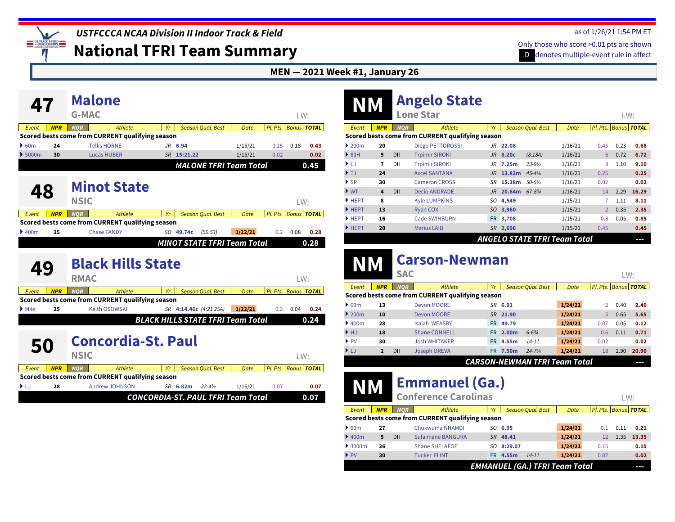*USTFCCCA NCAA Division II Indoor Track & Field*

**National TFRI Team Summary**

#### as of 1/26/21 1:54 PM ET

D denotes multiple-event rule in affect Only those who score >0.01 pts are shown

#### **MEN — 2021 Week #1, January 26**

|                            |            |              | <b>Malone</b>                                    |                                          |             |                                    |         |          |                             |                    |
|----------------------------|------------|--------------|--------------------------------------------------|------------------------------------------|-------------|------------------------------------|---------|----------|-----------------------------|--------------------|
|                            |            | <b>G-MAC</b> |                                                  |                                          |             |                                    |         |          | LW:                         |                    |
| Event                      | <b>NPR</b> | <b>NOR</b>   | Athlete                                          | Yr                                       |             | <b>Season Qual. Best</b>           | Date    |          | Pl. Pts. Bonus TOTAL        |                    |
|                            |            |              | Scored bests come from CURRENT qualifying season |                                          |             |                                    |         |          |                             |                    |
| $\bullet$ 60m              | 24         |              | <b>Tellis HORNE</b>                              |                                          | JR 6.94     |                                    | 1/15/21 | 0.25     | 0.18                        | 0.43               |
| $\rightarrow$ 5000m        | 30         |              | <b>Lucas HUBER</b>                               |                                          | SR 15:21.22 |                                    | 1/15/21 | 0.02     |                             | 0.02               |
|                            |            |              |                                                  |                                          |             | <b>MALONE TFRI Team Total</b>      |         |          |                             | 0.45               |
| 48                         |            | <b>NSIC</b>  | <b>Minot State</b>                               |                                          |             |                                    |         |          | LW:                         |                    |
| Event                      | <b>NPR</b> | <b>NOR</b>   | Athlete                                          | Yr                                       |             | <b>Season Qual. Best</b>           | Date    |          | Pl. Pts. Bonus TOTAL        |                    |
|                            |            |              | Scored bests come from CURRENT qualifying season |                                          |             |                                    |         |          |                             |                    |
|                            | 25         |              | <b>Chase TANDY</b>                               |                                          | SO 49.74c   | (50.53)                            | 1/22/21 | 0.2      | 0.08                        | 0.28               |
| $\rightarrow$ 400m         |            |              |                                                  |                                          |             |                                    |         |          |                             |                    |
|                            |            |              |                                                  |                                          |             | <b>MINOT STATE TFRI Team Total</b> |         |          |                             | 0.28               |
| 49                         |            | <b>RMAC</b>  | <b>Black Hills State</b>                         |                                          |             |                                    |         |          | LW:                         |                    |
| Event                      | <b>NPR</b> | <b>NOR</b>   | Athlete                                          | Yr                                       |             | <b>Season Qual. Best</b>           | Date    | Pl. Pts. |                             | <b>Bonus TOTAL</b> |
|                            |            |              | Scored bests come from CURRENT qualifying season |                                          |             |                                    |         |          |                             |                    |
| $\blacktriangleright$ Mile | 25         |              | <b>Keith OSOWSKI</b>                             |                                          |             | SR 4:14.46c (4:21.25A)             | 1/22/21 | 0.2      | 0.04                        | 0.24               |
|                            |            |              |                                                  | <b>BLACK HILLS STATE TFRI Team Total</b> |             |                                    |         |          |                             | 0.24               |
| 50                         |            |              | <b>Concordia-St. Paul</b>                        |                                          |             |                                    |         |          |                             |                    |
|                            |            | <b>NSIC</b>  |                                                  |                                          |             |                                    |         |          | LW:                         |                    |
| Event                      | <b>NPR</b> | <b>NOR</b>   | Athlete                                          | Yr                                       |             | <b>Season Qual. Best</b>           | Date    |          | Pl. Pts. Bonus <b>TOTAL</b> |                    |
|                            |            |              | Scored bests come from CURRENT qualifying season |                                          |             |                                    |         |          |                             |                    |
| ▶LJ                        | 28         |              | <b>Andrew JOHNSON</b>                            |                                          | SR 6.82m    | $22 - 4\frac{1}{2}$                | 1/16/21 | 0.07     |                             | 0.07               |

| NM                                     |            |            | <b>Angelo State</b><br><b>Lone Star</b>          |     |                   |                          |                                     |                | LW:  |                      |
|----------------------------------------|------------|------------|--------------------------------------------------|-----|-------------------|--------------------------|-------------------------------------|----------------|------|----------------------|
| Event                                  | <b>NPR</b> | <b>NOR</b> | Athlete                                          | Yr  |                   | <b>Season Qual. Best</b> | Date                                |                |      | Pl. Pts. Bonus TOTAL |
|                                        |            |            | Scored bests come from CURRENT qualifying season |     |                   |                          |                                     |                |      |                      |
| $\blacktriangleright$ 200 <sub>m</sub> | 20         |            | <b>Diego PETTOROSSI</b>                          | JR. | 22.08             |                          | 1/16/21                             | 0.45           | 0.23 | 0.68                 |
| $\triangleright$ 60H                   | 9          | DII        | <b>Trpimir SIROKI</b>                            | JR  | 8.20c             | (8.18A)                  | 1/16/21                             | 6              | 0.72 | 6.72                 |
| ▶ LJ                                   | 7          | DII        | <b>Trpimir SIROKI</b>                            | .JR | 7.25 <sub>m</sub> | $23 - 9\frac{1}{2}$      | 1/16/21                             | 8              | 1.10 | 9.10                 |
| $\blacktriangleright$ T.I              | 24         |            | <b>Axcel SANTANA</b>                             | JR. | 13.82m            | $4.5 - 4\frac{1}{4}$     | 1/16/21                             | 0.25           |      | 0.25                 |
| $\triangleright$ SP                    | 30         |            | <b>Cameron CROSS</b>                             | SR  | 15.38m            | $50 - 5\%$               | 1/16/21                             | 0.02           |      | 0.02                 |
| $\blacktriangleright$ WT               | 4          | DII        | <b>Decio ANDRADE</b>                             | JR  | 20.64m 67-834     |                          | 1/16/21                             | 14             | 2.29 | 16.29                |
| HEPT                                   | 8          |            | <b>Kyle LUMPKINS</b>                             | SO  | 4,549             |                          | 1/15/21                             | 7              | 1.11 | 8.11                 |
| $H$ HEPT                               | 13         |            | <b>Ryan COX</b>                                  | SO. | 3,960             |                          | 1/15/21                             | $\overline{2}$ | 0.35 | 2.35                 |
| $H$ HEPT                               | 16         |            | <b>Cade SWINBURN</b>                             |     | FR 3,708          |                          | 1/15/21                             | 0.8            | 0.05 | 0.85                 |
| HEPT                                   | 20         |            | <b>Marius LAIB</b>                               |     | SR 2,696          |                          | 1/15/21                             | 0.45           |      | 0.45                 |
|                                        |            |            |                                                  |     |                   |                          | <b>ANGELO STATE TFRI Team Total</b> |                |      | --                   |

|                                   |                |            | <u>Cal Suil-New High</u>                         |     |          |                                      |             |          |      |                    |
|-----------------------------------|----------------|------------|--------------------------------------------------|-----|----------|--------------------------------------|-------------|----------|------|--------------------|
|                                   |                | <b>SAC</b> |                                                  |     |          |                                      |             |          |      | LW:                |
| Event                             | <b>NPR</b>     | <b>NOR</b> | Athlete                                          | Yr  |          | <b>Season Oual, Best</b>             | <b>Date</b> | Pl. Pts. |      | <b>Bonus TOTAL</b> |
|                                   |                |            | Scored bests come from CURRENT qualifying season |     |          |                                      |             |          |      |                    |
| 60m                               | 13             |            | Devon MOORE                                      |     | SR 6.91  |                                      | 1/24/21     |          | 0.40 | 2.40               |
| $\triangleright$ 200 <sub>m</sub> | 10             |            | <b>Devon MOORE</b>                               |     | SR 21.90 |                                      | 1/24/21     | 5.       | 0.65 | 5.65               |
| $\blacktriangleright$ 400m        | 28             |            | Isaiah WEASBY                                    |     | FR 49.79 |                                      | 1/24/21     | 0.07     | 0.05 | 0.12               |
| HJ                                | 18             |            | <b>Shane CONNELL</b>                             |     | FR 2.00m | $6 - 6\frac{3}{4}$                   | 1/24/21     | 0.6      | 0.11 | 0.71               |
| $\blacktriangleright$ PV          | 30             |            | <b>Josh WHITAKER</b>                             | FR. | 4.55m    | $14 - 11$                            | 1/24/21     | 0.02     |      | 0.02               |
| $\blacktriangleright$ LJ          | $\overline{2}$ | DII        | <b>Joseph OREVA</b>                              | FR. | 7.50m    | $24 - 7\frac{1}{4}$                  | 1/24/21     | 18       | 2.90 | 20.90              |
|                                   |                |            |                                                  |     |          | <b>CARSON-NEWMAN TFRI Team Total</b> |             |          |      | --                 |
|                                   |                |            |                                                  |     |          |                                      |             |          |      |                    |

# **NM [Emmanuel \(Ga.\)](https://www.tfrrs.org/teams/73889) Conference Carolinas**

**NM [Carson-Newman](https://www.tfrrs.org/teams/11357)**

|                             |            | LW:        |                                                  |           |            |                                       |         |      |      |                      |
|-----------------------------|------------|------------|--------------------------------------------------|-----------|------------|---------------------------------------|---------|------|------|----------------------|
| Event                       | <b>NPR</b> | <b>NOR</b> | Athlete                                          | Yr        |            | <b>Season Qual. Best</b>              | Date    |      |      | Pl. Pts. Bonus TOTAL |
|                             |            |            | Scored bests come from CURRENT qualifying season |           |            |                                       |         |      |      |                      |
| $\triangleright$ 60m        | 27         |            | Chukwuma NNAMDI                                  |           | SO 6.95    |                                       | 1/24/21 | 0.1  | 0.11 | 0.21                 |
| 400 <sub>m</sub>            | 5.         | DII        | Sulaimane BANGURA                                |           | SR 48.41   |                                       | 1/24/21 | 12   | 1.35 | 13.35                |
| $\blacktriangleright$ 3000m | 26         |            | <b>Shane SHELAFOE</b>                            |           | SO 8:29.07 |                                       | 1/24/21 | 0.15 |      | 0.15                 |
| $\blacktriangleright$ PV    | 30         |            | <b>Tucker FLINT</b>                              | <b>FR</b> | 4.55m      | $14 - 11$                             | 1/24/21 | 0.02 |      | 0.02                 |
|                             |            |            |                                                  |           |            | <b>EMMANUEL (GA.) TFRI Team Total</b> |         |      |      | --                   |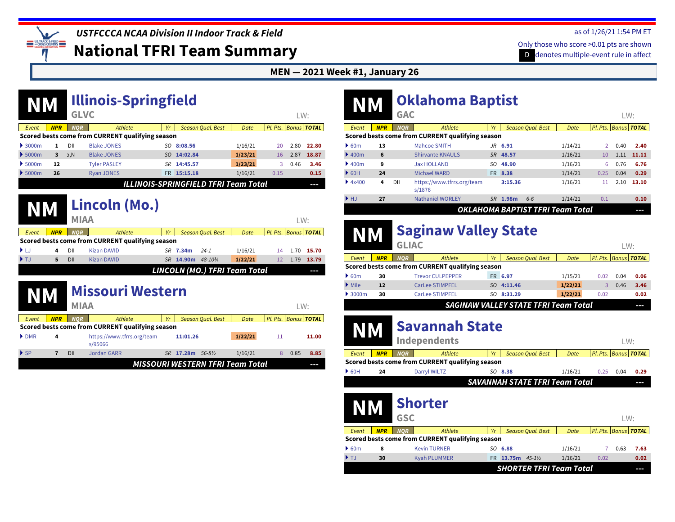*USTFCCCA NCAA Division II Indoor Track & Field*

**National TFRI Team Summary**

as of 1/26/21 1:54 PM ET

D denotes multiple-event rule in affect Only those who score >0.01 pts are shown

#### **MEN — 2021 Week #1, January 26**

| <b>NM</b>                   |                |             | <b>Illinois-Springfield</b>                      |    |                                             |             |                             |      |       |
|-----------------------------|----------------|-------------|--------------------------------------------------|----|---------------------------------------------|-------------|-----------------------------|------|-------|
|                             |                | <b>GLVC</b> |                                                  |    |                                             |             |                             | LW:  |       |
| Event                       | <b>NPR</b>     | <b>NOR</b>  | Athlete                                          | Yr | <b>Season Qual. Best</b>                    | Date        | Pl. Pts. Bonus <b>TOTAL</b> |      |       |
|                             |                |             | Scored bests come from CURRENT qualifying season |    |                                             |             |                             |      |       |
| $\blacktriangleright$ 3000m | 1              | DII         | <b>Blake JONES</b>                               |    | SO 8:08.56                                  | 1/16/21     | 20                          | 2.80 | 22.80 |
| $\blacktriangleright$ 5000m | 3              | J,C         | <b>Blake JONES</b>                               |    | SO 14:02.84                                 | 1/23/21     | 16                          | 2.87 | 18.87 |
| \$5000m                     | 12             |             | <b>Tyler PASLEY</b>                              | SR | 14:45.57                                    | 1/23/21     | 3                           | 0.46 | 3.46  |
| $\blacktriangleright$ 5000m | 26             |             | <b>Ryan JONES</b>                                |    | FR 15:15.18                                 | 1/16/21     | 0.15                        |      | 0.15  |
|                             |                |             |                                                  |    | <b>ILLINOIS-SPRINGFIELD TFRI Team Total</b> |             |                             |      | ŀ     |
| <b>NM</b>                   |                |             | Lincoln (Mo.)                                    |    |                                             |             |                             |      |       |
|                             |                | <b>MIAA</b> |                                                  |    |                                             |             |                             | LW:  |       |
| Event                       | <b>NPR</b>     | <b>NOR</b>  | Athlete                                          | Yr | <b>Season Qual. Best</b>                    | <b>Date</b> | Pl. Pts. Bonus TOTAL        |      |       |
|                             |                |             | Scored bests come from CURRENT qualifying season |    |                                             |             |                             |      |       |
| ÞЫ                          | 4              | DII         | <b>Kizan DAVID</b>                               |    | SR 7.34m<br>$24 - 1$                        | 1/16/21     | 14                          | 1.70 | 15.70 |
| ) TJ                        | 5              | DII         | <b>Kizan DAVID</b>                               |    | 48-103/4<br>SR 14.90m                       | 1/22/21     | 12                          | 1.79 | 13.79 |
|                             |                |             |                                                  |    | LINCOLN (MO.) TFRI Team Total               |             |                             |      | --    |
| <b>NM</b>                   |                |             | <b>Missouri Western</b>                          |    |                                             |             |                             |      |       |
|                             |                | <b>MIAA</b> |                                                  |    |                                             |             |                             | LW:  |       |
| Event                       | <b>NPR</b>     | <b>NOR</b>  | Athlete                                          | Yr | <b>Season Qual. Best</b>                    | Date        | Pl. Pts. Bonus TOTAL        |      |       |
|                             |                |             | Scored bests come from CURRENT qualifying season |    |                                             |             |                             |      |       |
| $\triangleright$ DMR        | 4              |             | https://www.tfrrs.org/team<br>s/95066            |    | 11:01.26                                    | 1/22/21     | 11                          |      | 11.00 |
| $\blacktriangleright$ SP    | $\overline{7}$ | DII         | <b>Jordan GARR</b>                               |    | SR 17.28m 56-8½                             | 1/16/21     | 8                           | 0.85 | 8.85  |
|                             |                |             |                                                  |    | <b>MISSOURI WESTERN TFRI Team Total</b>     |             |                             |      | ---   |
|                             |                |             |                                                  |    |                                             |             |                             |      |       |

|                            |            | <b>GAC</b> | <b>Oklahoma Baptist</b>                          |           |           |                                         |         |               | LW:  |                          |
|----------------------------|------------|------------|--------------------------------------------------|-----------|-----------|-----------------------------------------|---------|---------------|------|--------------------------|
| Event                      | <b>NPR</b> | <b>NOR</b> | Athlete                                          | Yr        |           | <b>Season Qual. Best</b>                | Date    |               |      | Pl. Pts.   Bonus   TOTAL |
|                            |            |            | Scored bests come from CURRENT qualifying season |           |           |                                         |         |               |      |                          |
| 60m                        | 13         |            | Mahcoe SMITH                                     |           | $JR$ 6.91 |                                         | 1/14/21 | $\mathcal{P}$ | 0.40 | 2.40                     |
| $\blacktriangleright$ 400m | 6          |            | <b>Shirvante KNAULS</b>                          |           | SR 48.57  |                                         | 1/16/21 | 10            | 1.11 | 11.11                    |
| $\blacktriangleright$ 400m | 9          |            | <b>Jax HOLLAND</b>                               | SO        | 48.90     |                                         | 1/16/21 | 6             | 0.76 | 6.76                     |
| $\triangleright$ 60H       | 24         |            | Michael WARD                                     |           | FR 8.38   |                                         | 1/14/21 | 0.25          | 0.04 | 0.29                     |
| 4x400                      | 4          | DII        | https://www.tfrrs.org/team<br>s/1876             |           | 3:15.36   |                                         | 1/16/21 | 11            | 2.10 | 13.10                    |
| HJ                         | 27         |            | <b>Nathaniel WORLEY</b>                          | <b>SR</b> | 1.98m     | $6-6$                                   | 1/14/21 | 0.1           |      | 0.10                     |
|                            |            |            |                                                  |           |           | <b>OKLAHOMA BAPTIST TFRI Team Total</b> |         |               |      | --                       |

|                        |            | <b>Saginaw Valley State</b><br><b>GLIAC</b> |                                                  |     |                                             |         |          |      |                    |  |  |
|------------------------|------------|---------------------------------------------|--------------------------------------------------|-----|---------------------------------------------|---------|----------|------|--------------------|--|--|
| Event                  | <b>NPR</b> | <b>NOR</b>                                  | Athlete                                          | Yr  | <b>Season Oual, Best</b>                    | Date    | Pl. Pts. |      | <b>Bonus TOTAL</b> |  |  |
|                        |            |                                             | Scored bests come from CURRENT qualifying season |     |                                             |         |          |      |                    |  |  |
| 60m                    | 30         |                                             | <b>Trevor CULPEPPER</b>                          |     | FR 6.97                                     | 1/15/21 | 0.02     | 0.04 | 0.06               |  |  |
| $\triangleright$ Mile  | 12         |                                             | <b>CarLee STIMPFEL</b>                           |     | SO 4:11.46                                  | 1/22/21 | 3        | 0.46 | 3.46               |  |  |
| $\triangleright$ 3000m | 30         |                                             | <b>CarLee STIMPFEL</b>                           | SO. | 8:31.29                                     | 1/22/21 | 0.02     |      | 0.02               |  |  |
|                        |            |                                             |                                                  |     | <b>SAGINAW VALLEY STATE TFRI Team Total</b> |         |          |      | --                 |  |  |
|                        |            |                                             | --                                               |     |                                             |         |          |      |                    |  |  |

| NM                        |            |                              | <b>Savannah State</b><br><b>Independents</b>     |     |                   |                                       |         |      | LW:  |                          |
|---------------------------|------------|------------------------------|--------------------------------------------------|-----|-------------------|---------------------------------------|---------|------|------|--------------------------|
| Event                     | <b>NPR</b> | <b>NOR</b>                   | Athlete                                          | Yr  |                   | <b>Season Qual. Best</b>              | Date    |      |      | Pl. Pts.   Bonus   TOTAL |
|                           |            |                              | Scored bests come from CURRENT qualifying season |     |                   |                                       |         |      |      |                          |
| $\triangleright$ 60H      | 24         |                              | Darryl WILTZ                                     |     | SO 8.38           |                                       | 1/16/21 | 0.25 | 0.04 | 0.29                     |
|                           |            |                              |                                                  |     |                   | <b>SAVANNAH STATE TFRI Team Total</b> |         |      |      | --                       |
| NM                        |            | <b>Shorter</b><br><b>GSC</b> |                                                  |     |                   |                                       |         |      | LW:  |                          |
| Event                     | <b>NPR</b> | <b>NOR</b>                   | Athlete                                          | Yr  |                   | <b>Season Qual. Best</b>              | Date    |      |      | Pl. Pts.   Bonus   TOTAL |
|                           |            |                              | Scored bests come from CURRENT qualifying season |     |                   |                                       |         |      |      |                          |
| $\triangleright$ 60m      | 8          |                              | <b>Kevin TURNER</b>                              | SO. | 6.88              |                                       | 1/16/21 |      | 0.63 | 7.63                     |
| $\blacktriangleright$ T.I | 30         |                              | <b>Kyah PLUMMER</b>                              | FR. | 13.75m $45 - 1\%$ |                                       | 1/16/21 | 0.02 |      | 0.02                     |
|                           |            |                              |                                                  |     |                   | <b>SHORTER TFRI Team Total</b>        |         |      |      | ---                      |